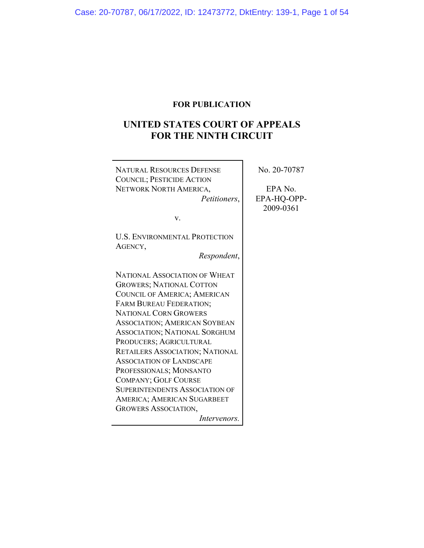# **FOR PUBLICATION**

# **UNITED STATES COURT OF APPEALS FOR THE NINTH CIRCUIT**

 $\overline{\mathbf{r}}$ 

| <b>NATURAL RESOURCES DEFENSE</b>       | No. 20-70787 |
|----------------------------------------|--------------|
| <b>COUNCIL; PESTICIDE ACTION</b>       |              |
| NETWORK NORTH AMERICA,                 | EPA No.      |
| Petitioners,                           | EPA-HQ-OPP-  |
|                                        | 2009-0361    |
| V.                                     |              |
| <b>U.S. ENVIRONMENTAL PROTECTION</b>   |              |
| AGENCY,                                |              |
| Respondent,                            |              |
| NATIONAL ASSOCIATION OF WHEAT          |              |
| <b>GROWERS; NATIONAL COTTON</b>        |              |
| COUNCIL OF AMERICA; AMERICAN           |              |
| FARM BUREAU FEDERATION;                |              |
| <b>NATIONAL CORN GROWERS</b>           |              |
| <b>ASSOCIATION; AMERICAN SOYBEAN</b>   |              |
| <b>ASSOCIATION; NATIONAL SORGHUM</b>   |              |
| PRODUCERS; AGRICULTURAL                |              |
| <b>RETAILERS ASSOCIATION; NATIONAL</b> |              |
| <b>ASSOCIATION OF LANDSCAPE</b>        |              |
| PROFESSIONALS; MONSANTO                |              |
| <b>COMPANY; GOLF COURSE</b>            |              |
| <b>SUPERINTENDENTS ASSOCIATION OF</b>  |              |
| AMERICA; AMERICAN SUGARBEET            |              |
| <b>GROWERS ASSOCIATION,</b>            |              |
| Intervenors.                           |              |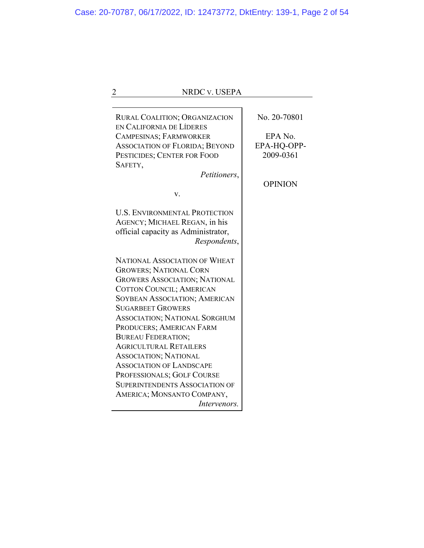| NRDC v. USEPA                                                    |                |
|------------------------------------------------------------------|----------------|
|                                                                  |                |
| <b>RURAL COALITION; ORGANIZACION</b><br>EN CALIFORNIA DE LÍDERES | No. 20-70801   |
| CAMPESINAS; FARMWORKER                                           | EPA No.        |
| <b>ASSOCIATION OF FLORIDA; BEYOND</b>                            | EPA-HQ-OPP-    |
| PESTICIDES; CENTER FOR FOOD                                      | 2009-0361      |
| SAFETY,                                                          |                |
| Petitioners,                                                     |                |
|                                                                  | <b>OPINION</b> |
| v.                                                               |                |
|                                                                  |                |
| <b>U.S. ENVIRONMENTAL PROTECTION</b>                             |                |
| AGENCY; MICHAEL REGAN, in his                                    |                |
| official capacity as Administrator,                              |                |
| Respondents,                                                     |                |
|                                                                  |                |
| <b>NATIONAL ASSOCIATION OF WHEAT</b>                             |                |
| <b>GROWERS; NATIONAL CORN</b>                                    |                |
| <b>GROWERS ASSOCIATION; NATIONAL</b>                             |                |
| COTTON COUNCIL; AMERICAN                                         |                |
| SOYBEAN ASSOCIATION; AMERICAN                                    |                |
| <b>SUGARBEET GROWERS</b>                                         |                |
| <b>ASSOCIATION; NATIONAL SORGHUM</b>                             |                |
| PRODUCERS; AMERICAN FARM                                         |                |
| <b>BUREAU FEDERATION;</b>                                        |                |
| <b>AGRICULTURAL RETAILERS</b>                                    |                |
| <b>ASSOCIATION; NATIONAL</b>                                     |                |
| <b>ASSOCIATION OF LANDSCAPE</b>                                  |                |
| PROFESSIONALS; GOLF COURSE                                       |                |
| <b>SUPERINTENDENTS ASSOCIATION OF</b>                            |                |
| AMERICA; MONSANTO COMPANY,                                       |                |
| <i>Intervenors.</i>                                              |                |
|                                                                  |                |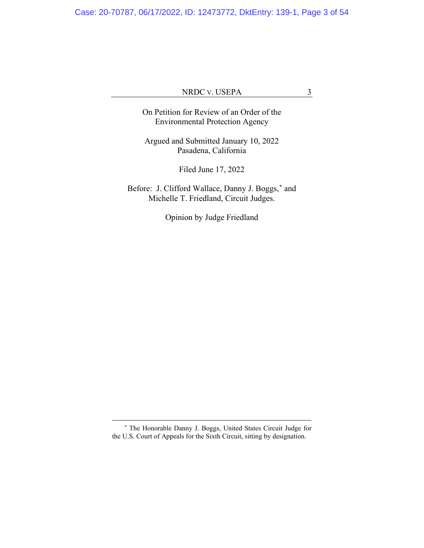Case: 20-70787, 06/17/2022, ID: 12473772, DktEntry: 139-1, Page 3 of 54

# NRDC V. USEPA 3

On Petition for Review of an Order of the Environmental Protection Agency

Argued and Submitted January 10, 2022 Pasadena, California

Filed June 17, 2022

Before: J. Clifford Wallace, Danny J. Boggs,**[\\*](#page-2-0)** and Michelle T. Friedland, Circuit Judges.

Opinion by Judge Friedland

<span id="page-2-0"></span>**<sup>\*</sup>** The Honorable Danny J. Boggs, United States Circuit Judge for the U.S. Court of Appeals for the Sixth Circuit, sitting by designation.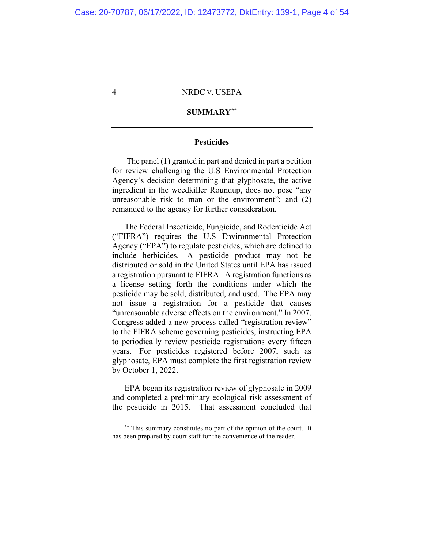# **SUMMARY[\\*\\*](#page-3-0)**

# **Pesticides**

The panel (1) granted in part and denied in part a petition for review challenging the U.S Environmental Protection Agency's decision determining that glyphosate, the active ingredient in the weedkiller Roundup, does not pose "any unreasonable risk to man or the environment"; and (2) remanded to the agency for further consideration.

The Federal Insecticide, Fungicide, and Rodenticide Act ("FIFRA") requires the U.S Environmental Protection Agency ("EPA") to regulate pesticides, which are defined to include herbicides. A pesticide product may not be distributed or sold in the United States until EPA has issued a registration pursuant to FIFRA. A registration functions as a license setting forth the conditions under which the pesticide may be sold, distributed, and used. The EPA may not issue a registration for a pesticide that causes "unreasonable adverse effects on the environment." In 2007, Congress added a new process called "registration review" to the FIFRA scheme governing pesticides, instructing EPA to periodically review pesticide registrations every fifteen years. For pesticides registered before 2007, such as glyphosate, EPA must complete the first registration review by October 1, 2022.

EPA began its registration review of glyphosate in 2009 and completed a preliminary ecological risk assessment of the pesticide in 2015. That assessment concluded that

<span id="page-3-0"></span>**<sup>\*\*</sup>** This summary constitutes no part of the opinion of the court. It has been prepared by court staff for the convenience of the reader.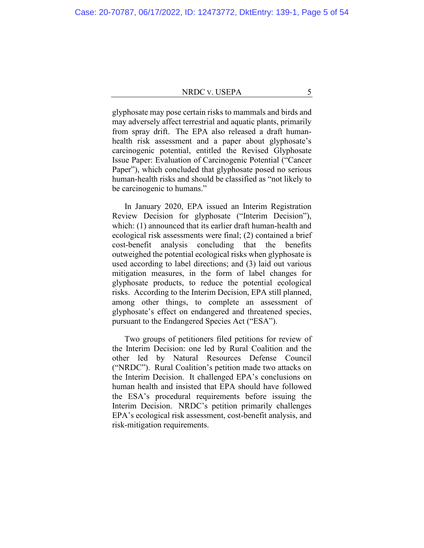glyphosate may pose certain risks to mammals and birds and may adversely affect terrestrial and aquatic plants, primarily from spray drift. The EPA also released a draft humanhealth risk assessment and a paper about glyphosate's carcinogenic potential, entitled the Revised Glyphosate Issue Paper: Evaluation of Carcinogenic Potential ("Cancer Paper"), which concluded that glyphosate posed no serious human-health risks and should be classified as "not likely to be carcinogenic to humans."

In January 2020, EPA issued an Interim Registration Review Decision for glyphosate ("Interim Decision"), which: (1) announced that its earlier draft human-health and ecological risk assessments were final; (2) contained a brief cost-benefit analysis concluding that the benefits outweighed the potential ecological risks when glyphosate is used according to label directions; and (3) laid out various mitigation measures, in the form of label changes for glyphosate products, to reduce the potential ecological risks. According to the Interim Decision, EPA still planned, among other things, to complete an assessment of glyphosate's effect on endangered and threatened species, pursuant to the Endangered Species Act ("ESA").

Two groups of petitioners filed petitions for review of the Interim Decision: one led by Rural Coalition and the other led by Natural Resources Defense Council ("NRDC"). Rural Coalition's petition made two attacks on the Interim Decision. It challenged EPA's conclusions on human health and insisted that EPA should have followed the ESA's procedural requirements before issuing the Interim Decision. NRDC's petition primarily challenges EPA's ecological risk assessment, cost-benefit analysis, and risk-mitigation requirements.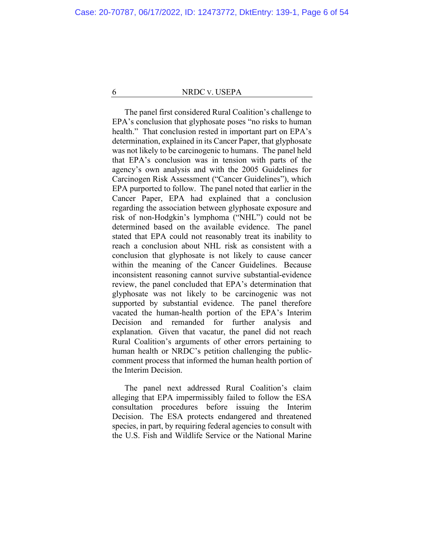The panel first considered Rural Coalition's challenge to EPA's conclusion that glyphosate poses "no risks to human health." That conclusion rested in important part on EPA's determination, explained in its Cancer Paper, that glyphosate was not likely to be carcinogenic to humans. The panel held that EPA's conclusion was in tension with parts of the agency's own analysis and with the 2005 Guidelines for Carcinogen Risk Assessment ("Cancer Guidelines"), which EPA purported to follow. The panel noted that earlier in the Cancer Paper, EPA had explained that a conclusion regarding the association between glyphosate exposure and risk of non-Hodgkin's lymphoma ("NHL") could not be determined based on the available evidence. The panel stated that EPA could not reasonably treat its inability to reach a conclusion about NHL risk as consistent with a conclusion that glyphosate is not likely to cause cancer within the meaning of the Cancer Guidelines. Because inconsistent reasoning cannot survive substantial-evidence review, the panel concluded that EPA's determination that glyphosate was not likely to be carcinogenic was not supported by substantial evidence. The panel therefore vacated the human-health portion of the EPA's Interim Decision and remanded for further analysis and explanation. Given that vacatur, the panel did not reach Rural Coalition's arguments of other errors pertaining to human health or NRDC's petition challenging the publiccomment process that informed the human health portion of the Interim Decision.

The panel next addressed Rural Coalition's claim alleging that EPA impermissibly failed to follow the ESA consultation procedures before issuing the Interim Decision. The ESA protects endangered and threatened species, in part, by requiring federal agencies to consult with the U.S. Fish and Wildlife Service or the National Marine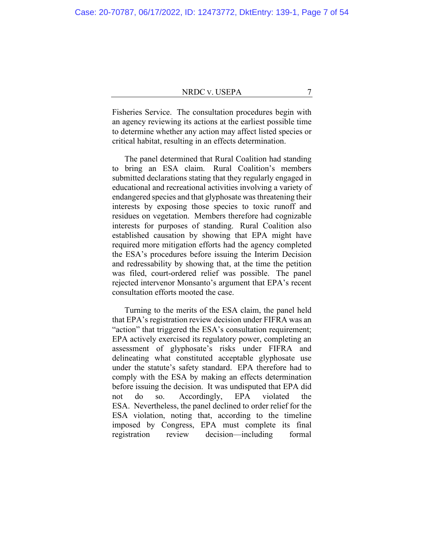Fisheries Service. The consultation procedures begin with an agency reviewing its actions at the earliest possible time to determine whether any action may affect listed species or critical habitat, resulting in an effects determination.

The panel determined that Rural Coalition had standing to bring an ESA claim. Rural Coalition's members submitted declarations stating that they regularly engaged in educational and recreational activities involving a variety of endangered species and that glyphosate was threatening their interests by exposing those species to toxic runoff and residues on vegetation. Members therefore had cognizable interests for purposes of standing. Rural Coalition also established causation by showing that EPA might have required more mitigation efforts had the agency completed the ESA's procedures before issuing the Interim Decision and redressability by showing that, at the time the petition was filed, court-ordered relief was possible. The panel rejected intervenor Monsanto's argument that EPA's recent consultation efforts mooted the case.

Turning to the merits of the ESA claim, the panel held that EPA's registration review decision under FIFRA was an "action" that triggered the ESA's consultation requirement; EPA actively exercised its regulatory power, completing an assessment of glyphosate's risks under FIFRA and delineating what constituted acceptable glyphosate use under the statute's safety standard. EPA therefore had to comply with the ESA by making an effects determination before issuing the decision. It was undisputed that EPA did not do so. Accordingly, EPA violated the ESA. Nevertheless, the panel declined to order relief for the ESA violation, noting that, according to the timeline imposed by Congress, EPA must complete its final registration review decision—including formal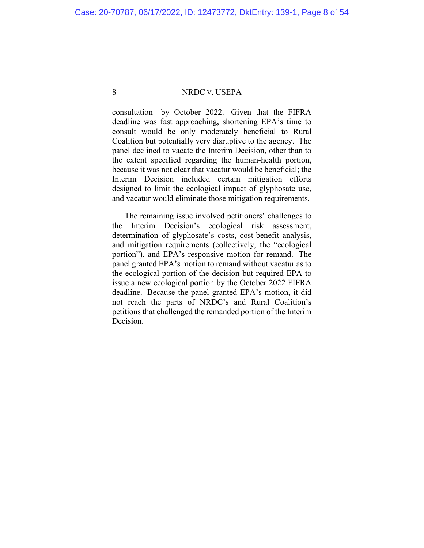consultation—by October 2022. Given that the FIFRA deadline was fast approaching, shortening EPA's time to consult would be only moderately beneficial to Rural Coalition but potentially very disruptive to the agency. The panel declined to vacate the Interim Decision, other than to the extent specified regarding the human-health portion, because it was not clear that vacatur would be beneficial; the Interim Decision included certain mitigation efforts designed to limit the ecological impact of glyphosate use, and vacatur would eliminate those mitigation requirements.

The remaining issue involved petitioners' challenges to the Interim Decision's ecological risk assessment, determination of glyphosate's costs, cost-benefit analysis, and mitigation requirements (collectively, the "ecological portion"), and EPA's responsive motion for remand. The panel granted EPA's motion to remand without vacatur as to the ecological portion of the decision but required EPA to issue a new ecological portion by the October 2022 FIFRA deadline. Because the panel granted EPA's motion, it did not reach the parts of NRDC's and Rural Coalition's petitions that challenged the remanded portion of the Interim Decision.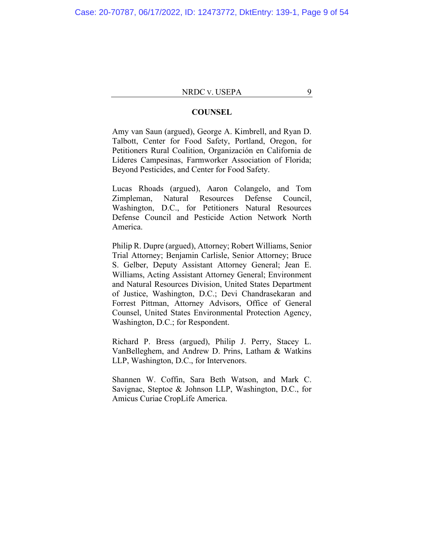# **COUNSEL**

Amy van Saun (argued), George A. Kimbrell, and Ryan D. Talbott, Center for Food Safety, Portland, Oregon, for Petitioners Rural Coalition, Organización en California de Líderes Campesinas, Farmworker Association of Florida; Beyond Pesticides, and Center for Food Safety.

Lucas Rhoads (argued), Aaron Colangelo, and Tom Zimpleman, Natural Resources Defense Council, Washington, D.C., for Petitioners Natural Resources Defense Council and Pesticide Action Network North America.

Philip R. Dupre (argued), Attorney; Robert Williams, Senior Trial Attorney; Benjamin Carlisle, Senior Attorney; Bruce S. Gelber, Deputy Assistant Attorney General; Jean E. Williams, Acting Assistant Attorney General; Environment and Natural Resources Division, United States Department of Justice, Washington, D.C.; Devi Chandrasekaran and Forrest Pittman, Attorney Advisors, Office of General Counsel, United States Environmental Protection Agency, Washington, D.C.; for Respondent.

Richard P. Bress (argued), Philip J. Perry, Stacey L. VanBelleghem, and Andrew D. Prins, Latham & Watkins LLP, Washington, D.C., for Intervenors.

Shannen W. Coffin, Sara Beth Watson, and Mark C. Savignac, Steptoe & Johnson LLP, Washington, D.C., for Amicus Curiae CropLife America.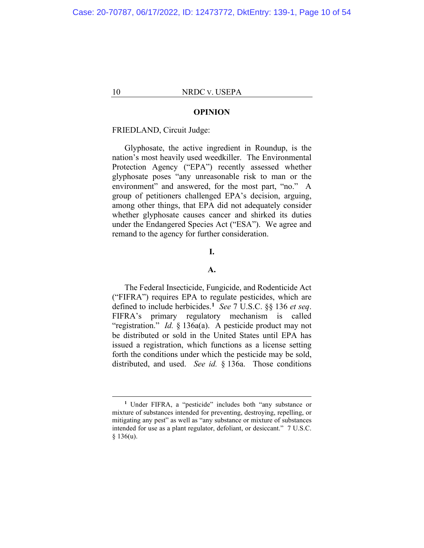## **OPINION**

# FRIEDLAND, Circuit Judge:

Glyphosate, the active ingredient in Roundup, is the nation's most heavily used weedkiller. The Environmental Protection Agency ("EPA") recently assessed whether glyphosate poses "any unreasonable risk to man or the environment" and answered, for the most part, "no." A group of petitioners challenged EPA's decision, arguing, among other things, that EPA did not adequately consider whether glyphosate causes cancer and shirked its duties under the Endangered Species Act ("ESA"). We agree and remand to the agency for further consideration.

# **I.**

# **A.**

The Federal Insecticide, Fungicide, and Rodenticide Act ("FIFRA") requires EPA to regulate pesticides, which are defined to include herbicides.**[1](#page-9-0)** *See* 7 U.S.C. §§ 136 *et seq*. FIFRA's primary regulatory mechanism is called "registration." *Id.* § 136a(a). A pesticide product may not be distributed or sold in the United States until EPA has issued a registration, which functions as a license setting forth the conditions under which the pesticide may be sold, distributed, and used. *See id.* § 136a. Those conditions

<span id="page-9-0"></span>**<sup>1</sup>** Under FIFRA, a "pesticide" includes both "any substance or mixture of substances intended for preventing, destroying, repelling, or mitigating any pest" as well as "any substance or mixture of substances intended for use as a plant regulator, defoliant, or desiccant." 7 U.S.C.  $§ 136(u).$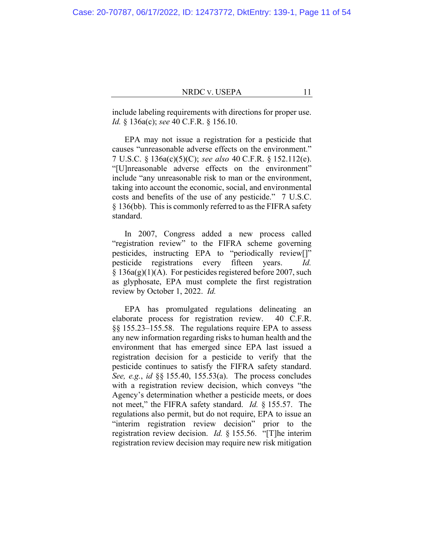include labeling requirements with directions for proper use. *Id.* § 136a(c); *see* 40 C.F.R. § 156.10.

EPA may not issue a registration for a pesticide that causes "unreasonable adverse effects on the environment." 7 U.S.C. § 136a(c)(5)(C); *see also* 40 C.F.R. § 152.112(e). "[U]nreasonable adverse effects on the environment" include "any unreasonable risk to man or the environment, taking into account the economic, social, and environmental costs and benefits of the use of any pesticide." 7 U.S.C. § 136(bb). This is commonly referred to as the FIFRA safety standard.

In 2007, Congress added a new process called "registration review" to the FIFRA scheme governing pesticides, instructing EPA to "periodically review[]" pesticide registrations every fifteen years. *Id.*  $§ 136a(g)(1)(A)$ . For pesticides registered before 2007, such as glyphosate, EPA must complete the first registration review by October 1, 2022. *Id.*

EPA has promulgated regulations delineating an elaborate process for registration review. 40 C.F.R. §§ 155.23–155.58. The regulations require EPA to assess any new information regarding risks to human health and the environment that has emerged since EPA last issued a registration decision for a pesticide to verify that the pesticide continues to satisfy the FIFRA safety standard. *See, e.g.*, *id* §§ 155.40, 155.53(a). The process concludes with a registration review decision, which conveys "the Agency's determination whether a pesticide meets, or does not meet," the FIFRA safety standard. *Id.* § 155.57. The regulations also permit, but do not require, EPA to issue an "interim registration review decision" prior to the registration review decision. *Id.* § 155.56. "[T]he interim registration review decision may require new risk mitigation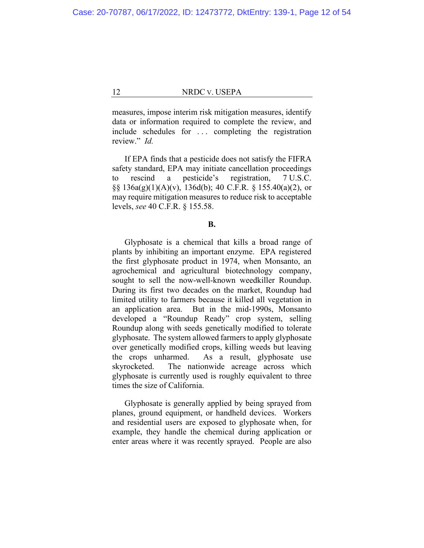measures, impose interim risk mitigation measures, identify data or information required to complete the review, and include schedules for . . . completing the registration review." *Id.*

If EPA finds that a pesticide does not satisfy the FIFRA safety standard, EPA may initiate cancellation proceedings to rescind a pesticide's registration, 7 U.S.C. §§ 136a(g)(1)(A)(v), 136d(b); 40 C.F.R. § 155.40(a)(2), or may require mitigation measures to reduce risk to acceptable levels, *see* 40 C.F.R. § 155.58.

# **B.**

Glyphosate is a chemical that kills a broad range of plants by inhibiting an important enzyme. EPA registered the first glyphosate product in 1974, when Monsanto, an agrochemical and agricultural biotechnology company, sought to sell the now-well-known weedkiller Roundup. During its first two decades on the market, Roundup had limited utility to farmers because it killed all vegetation in an application area. But in the mid-1990s, Monsanto developed a "Roundup Ready" crop system, selling Roundup along with seeds genetically modified to tolerate glyphosate. The system allowed farmers to apply glyphosate over genetically modified crops, killing weeds but leaving the crops unharmed. As a result, glyphosate use skyrocketed. The nationwide acreage across which glyphosate is currently used is roughly equivalent to three times the size of California.

Glyphosate is generally applied by being sprayed from planes, ground equipment, or handheld devices. Workers and residential users are exposed to glyphosate when, for example, they handle the chemical during application or enter areas where it was recently sprayed. People are also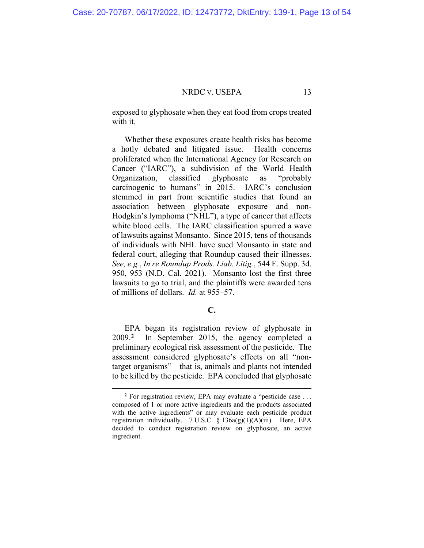exposed to glyphosate when they eat food from crops treated with it.

Whether these exposures create health risks has become a hotly debated and litigated issue. Health concerns proliferated when the International Agency for Research on Cancer ("IARC"), a subdivision of the World Health Organization, classified glyphosate as "probably carcinogenic to humans" in 2015. IARC's conclusion stemmed in part from scientific studies that found an association between glyphosate exposure and non-Hodgkin's lymphoma ("NHL"), a type of cancer that affects white blood cells. The IARC classification spurred a wave of lawsuits against Monsanto. Since 2015, tens of thousands of individuals with NHL have sued Monsanto in state and federal court, alleging that Roundup caused their illnesses. *See, e.g.*, *In re Roundup Prods. Liab. Litig.*, 544 F. Supp. 3d. 950, 953 (N.D. Cal. 2021). Monsanto lost the first three lawsuits to go to trial, and the plaintiffs were awarded tens of millions of dollars. *Id.* at 955–57.

# **C.**

EPA began its registration review of glyphosate in 2009.**[2](#page-12-0)** In September 2015, the agency completed a preliminary ecological risk assessment of the pesticide. The assessment considered glyphosate's effects on all "nontarget organisms"—that is, animals and plants not intended to be killed by the pesticide. EPA concluded that glyphosate

<span id="page-12-0"></span>**<sup>2</sup>** For registration review, EPA may evaluate a "pesticide case . . . composed of 1 or more active ingredients and the products associated with the active ingredients" or may evaluate each pesticide product registration individually. 7 U.S.C.  $\S$  136a(g)(1)(A)(iii). Here, EPA decided to conduct registration review on glyphosate, an active ingredient.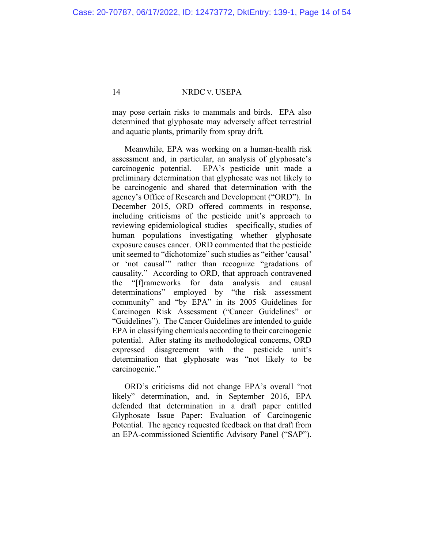may pose certain risks to mammals and birds. EPA also determined that glyphosate may adversely affect terrestrial and aquatic plants, primarily from spray drift.

Meanwhile, EPA was working on a human-health risk assessment and, in particular, an analysis of glyphosate's carcinogenic potential. EPA's pesticide unit made a preliminary determination that glyphosate was not likely to be carcinogenic and shared that determination with the agency's Office of Research and Development ("ORD"). In December 2015, ORD offered comments in response, including criticisms of the pesticide unit's approach to reviewing epidemiological studies—specifically, studies of human populations investigating whether glyphosate exposure causes cancer. ORD commented that the pesticide unit seemed to "dichotomize" such studies as "either 'causal' or 'not causal'" rather than recognize "gradations of causality." According to ORD, that approach contravened the "[f]rameworks for data analysis and causal determinations" employed by "the risk assessment community" and "by EPA" in its 2005 Guidelines for Carcinogen Risk Assessment ("Cancer Guidelines" or "Guidelines"). The Cancer Guidelines are intended to guide EPA in classifying chemicals according to their carcinogenic potential. After stating its methodological concerns, ORD expressed disagreement with the pesticide unit's determination that glyphosate was "not likely to be carcinogenic."

ORD's criticisms did not change EPA's overall "not likely" determination, and, in September 2016, EPA defended that determination in a draft paper entitled Glyphosate Issue Paper: Evaluation of Carcinogenic Potential. The agency requested feedback on that draft from an EPA-commissioned Scientific Advisory Panel ("SAP").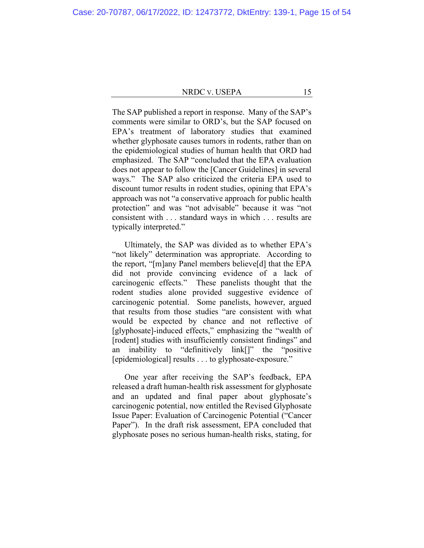The SAP published a report in response. Many of the SAP's comments were similar to ORD's, but the SAP focused on EPA's treatment of laboratory studies that examined whether glyphosate causes tumors in rodents, rather than on the epidemiological studies of human health that ORD had emphasized. The SAP "concluded that the EPA evaluation does not appear to follow the [Cancer Guidelines] in several ways." The SAP also criticized the criteria EPA used to discount tumor results in rodent studies, opining that EPA's approach was not "a conservative approach for public health protection" and was "not advisable" because it was "not consistent with . . . standard ways in which . . . results are typically interpreted."

Ultimately, the SAP was divided as to whether EPA's "not likely" determination was appropriate. According to the report, "[m]any Panel members believe[d] that the EPA did not provide convincing evidence of a lack of carcinogenic effects." These panelists thought that the rodent studies alone provided suggestive evidence of carcinogenic potential. Some panelists, however, argued that results from those studies "are consistent with what would be expected by chance and not reflective of [glyphosate]-induced effects," emphasizing the "wealth of [rodent] studies with insufficiently consistent findings" and an inability to "definitively link[]" the "positive [epidemiological] results . . . to glyphosate-exposure."

One year after receiving the SAP's feedback, EPA released a draft human-health risk assessment for glyphosate and an updated and final paper about glyphosate's carcinogenic potential, now entitled the Revised Glyphosate Issue Paper: Evaluation of Carcinogenic Potential ("Cancer Paper"). In the draft risk assessment, EPA concluded that glyphosate poses no serious human-health risks, stating, for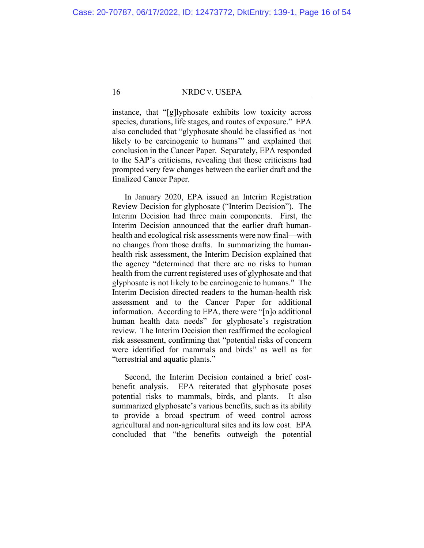instance, that "[g]lyphosate exhibits low toxicity across species, durations, life stages, and routes of exposure." EPA also concluded that "glyphosate should be classified as 'not likely to be carcinogenic to humans" and explained that conclusion in the Cancer Paper. Separately, EPA responded to the SAP's criticisms, revealing that those criticisms had prompted very few changes between the earlier draft and the finalized Cancer Paper.

In January 2020, EPA issued an Interim Registration Review Decision for glyphosate ("Interim Decision"). The Interim Decision had three main components. First, the Interim Decision announced that the earlier draft humanhealth and ecological risk assessments were now final—with no changes from those drafts. In summarizing the humanhealth risk assessment, the Interim Decision explained that the agency "determined that there are no risks to human health from the current registered uses of glyphosate and that glyphosate is not likely to be carcinogenic to humans."The Interim Decision directed readers to the human-health risk assessment and to the Cancer Paper for additional information.According to EPA, there were "[n]o additional human health data needs" for glyphosate's registration review. The Interim Decision then reaffirmed the ecological risk assessment, confirming that "potential risks of concern were identified for mammals and birds" as well as for "terrestrial and aquatic plants."

Second, the Interim Decision contained a brief costbenefit analysis. EPA reiterated that glyphosate poses potential risks to mammals, birds, and plants. It also summarized glyphosate's various benefits, such as its ability to provide a broad spectrum of weed control across agricultural and non-agricultural sites and its low cost. EPA concluded that "the benefits outweigh the potential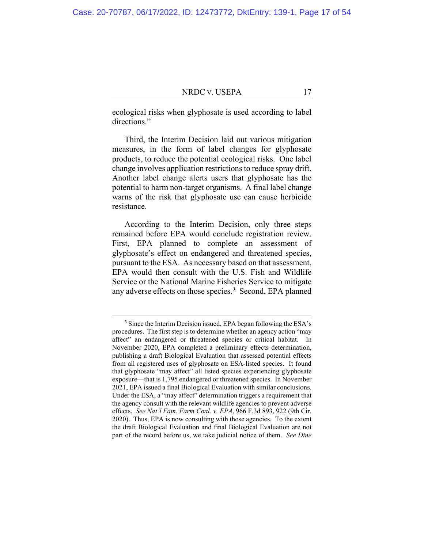ecological risks when glyphosate is used according to label directions."

Third, the Interim Decision laid out various mitigation measures, in the form of label changes for glyphosate products, to reduce the potential ecological risks. One label change involves application restrictions to reduce spray drift. Another label change alerts users that glyphosate has the potential to harm non-target organisms. A final label change warns of the risk that glyphosate use can cause herbicide resistance.

According to the Interim Decision, only three steps remained before EPA would conclude registration review. First, EPA planned to complete an assessment of glyphosate's effect on endangered and threatened species, pursuant to the ESA. As necessary based on that assessment, EPA would then consult with the U.S. Fish and Wildlife Service or the National Marine Fisheries Service to mitigate any adverse effects on those species.**[3](#page-16-0)** Second, EPA planned

<span id="page-16-0"></span>**<sup>3</sup>** Since the Interim Decision issued, EPA began following the ESA's procedures. The first step is to determine whether an agency action "may affect" an endangered or threatened species or critical habitat. In November 2020, EPA completed a preliminary effects determination, publishing a draft Biological Evaluation that assessed potential effects from all registered uses of glyphosate on ESA-listed species. It found that glyphosate "may affect" all listed species experiencing glyphosate exposure—that is 1,795 endangered or threatened species. In November 2021, EPA issued a final Biological Evaluation with similar conclusions. Under the ESA, a "may affect" determination triggers a requirement that the agency consult with the relevant wildlife agencies to prevent adverse effects. *See Nat'l Fam. Farm Coal. v. EPA*, 966 F.3d 893, 922 (9th Cir. 2020). Thus, EPA is now consulting with those agencies. To the extent the draft Biological Evaluation and final Biological Evaluation are not part of the record before us, we take judicial notice of them. *See Dine*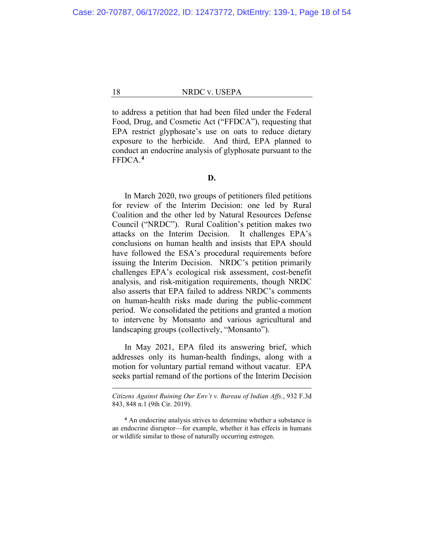to address a petition that had been filed under the Federal Food, Drug, and Cosmetic Act ("FFDCA"), requesting that EPA restrict glyphosate's use on oats to reduce dietary exposure to the herbicide. And third, EPA planned to conduct an endocrine analysis of glyphosate pursuant to the FFDCA.**[4](#page-17-0)**

## **D.**

In March 2020, two groups of petitioners filed petitions for review of the Interim Decision: one led by Rural Coalition and the other led by Natural Resources Defense Council ("NRDC"). Rural Coalition's petition makes two attacks on the Interim Decision. It challenges EPA's conclusions on human health and insists that EPA should have followed the ESA's procedural requirements before issuing the Interim Decision. NRDC's petition primarily challenges EPA's ecological risk assessment, cost-benefit analysis, and risk-mitigation requirements, though NRDC also asserts that EPA failed to address NRDC's comments on human-health risks made during the public-comment period. We consolidated the petitions and granted a motion to intervene by Monsanto and various agricultural and landscaping groups (collectively, "Monsanto").

In May 2021, EPA filed its answering brief, which addresses only its human-health findings, along with a motion for voluntary partial remand without vacatur. EPA seeks partial remand of the portions of the Interim Decision

*Citizens Against Ruining Our Env't v. Bureau of Indian Affs.*, 932 F.3d 843, 848 n.1 (9th Cir. 2019).

<span id="page-17-0"></span>**<sup>4</sup>** An endocrine analysis strives to determine whether a substance is an endocrine disruptor—for example, whether it has effects in humans or wildlife similar to those of naturally occurring estrogen.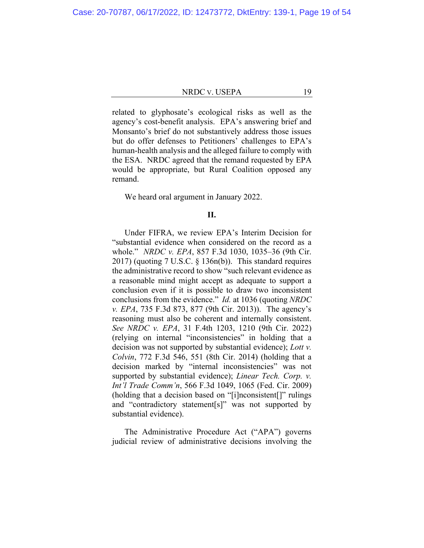related to glyphosate's ecological risks as well as the agency's cost-benefit analysis. EPA's answering brief and Monsanto's brief do not substantively address those issues but do offer defenses to Petitioners' challenges to EPA's human-health analysis and the alleged failure to comply with the ESA. NRDC agreed that the remand requested by EPA would be appropriate, but Rural Coalition opposed any remand.

We heard oral argument in January 2022.

# **II.**

Under FIFRA, we review EPA's Interim Decision for "substantial evidence when considered on the record as a whole." *NRDC v. EPA*, 857 F.3d 1030, 1035–36 (9th Cir. 2017) (quoting 7 U.S.C. § 136n(b)). This standard requires the administrative record to show "such relevant evidence as a reasonable mind might accept as adequate to support a conclusion even if it is possible to draw two inconsistent conclusions from the evidence." *Id.* at 1036 (quoting *NRDC v. EPA*, 735 F.3d 873, 877 (9th Cir. 2013)). The agency's reasoning must also be coherent and internally consistent. *See NRDC v. EPA*, 31 F.4th 1203, 1210 (9th Cir. 2022) (relying on internal "inconsistencies" in holding that a decision was not supported by substantial evidence); *Lott v. Colvin*, 772 F.3d 546, 551 (8th Cir. 2014) (holding that a decision marked by "internal inconsistencies" was not supported by substantial evidence); *Linear Tech. Corp. v. Int'l Trade Comm'n*, 566 F.3d 1049, 1065 (Fed. Cir. 2009) (holding that a decision based on "[i]nconsistent[]" rulings and "contradictory statement[s]" was not supported by substantial evidence).

The Administrative Procedure Act ("APA") governs judicial review of administrative decisions involving the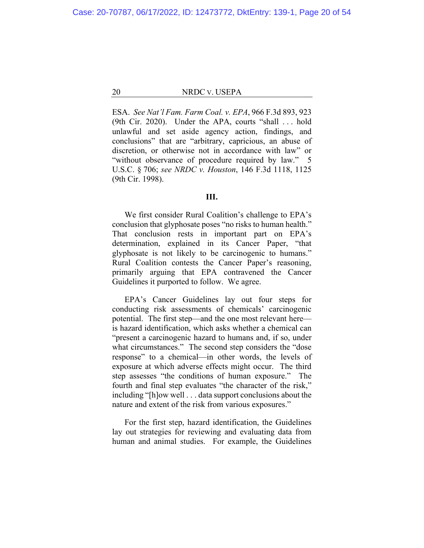ESA. *See Nat'l Fam. Farm Coal. v. EPA*, 966 F.3d 893, 923 (9th Cir. 2020). Under the APA, courts "shall . . . hold unlawful and set aside agency action, findings, and conclusions" that are "arbitrary, capricious, an abuse of discretion, or otherwise not in accordance with law" or "without observance of procedure required by law." 5 U.S.C. § 706; *see NRDC v. Houston*, 146 F.3d 1118, 1125 (9th Cir. 1998).

# **III.**

We first consider Rural Coalition's challenge to EPA's conclusion that glyphosate poses "no risks to human health." That conclusion rests in important part on EPA's determination, explained in its Cancer Paper, "that glyphosate is not likely to be carcinogenic to humans." Rural Coalition contests the Cancer Paper's reasoning, primarily arguing that EPA contravened the Cancer Guidelines it purported to follow.We agree.

EPA's Cancer Guidelines lay out four steps for conducting risk assessments of chemicals' carcinogenic potential. The first step—and the one most relevant here is hazard identification, which asks whether a chemical can "present a carcinogenic hazard to humans and, if so, under what circumstances." The second step considers the "dose response" to a chemical—in other words, the levels of exposure at which adverse effects might occur. The third step assesses "the conditions of human exposure." The fourth and final step evaluates "the character of the risk," including "[h]ow well . . . data support conclusions about the nature and extent of the risk from various exposures."

For the first step, hazard identification, the Guidelines lay out strategies for reviewing and evaluating data from human and animal studies. For example, the Guidelines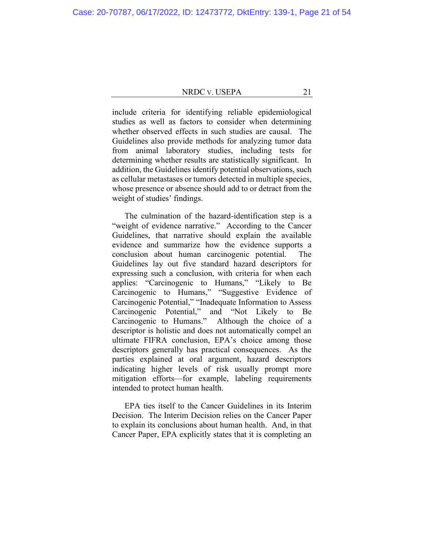include criteria for identifying reliable epidemiological studies as well as factors to consider when determining whether observed effects in such studies are causal. The Guidelines also provide methods for analyzing tumor data from animal laboratory studies, including tests for determining whether results are statistically significant. In addition, the Guidelines identify potential observations, such as cellular metastases or tumors detected in multiple species, whose presence or absence should add to or detract from the weight of studies' findings.

The culmination of the hazard-identification step is a "weight of evidence narrative." According to the Cancer Guidelines, that narrative should explain the available evidence and summarize how the evidence supports a conclusion about human carcinogenic potential. The Guidelines lay out five standard hazard descriptors for expressing such a conclusion, with criteria for when each applies: "Carcinogenic to Humans," "Likely to Be Carcinogenic to Humans," "Suggestive Evidence of Carcinogenic Potential," "Inadequate Information to Assess Carcinogenic Potential," and "Not Likely to Be Carcinogenic to Humans." Although the choice of a descriptor is holistic and does not automatically compel an ultimate FIFRA conclusion, EPA's choice among those descriptors generally has practical consequences. As the parties explained at oral argument, hazard descriptors indicating higher levels of risk usually prompt more mitigation efforts—for example, labeling requirements intended to protect human health.

EPA ties itself to the Cancer Guidelines in its Interim Decision. The Interim Decision relies on the Cancer Paper to explain its conclusions about human health. And, in that Cancer Paper, EPA explicitly states that it is completing an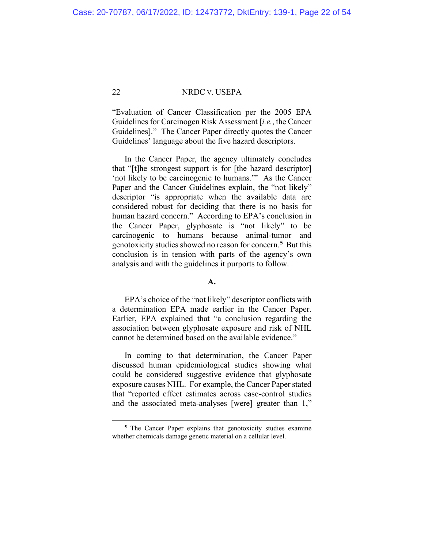"Evaluation of Cancer Classification per the 2005 EPA Guidelines for Carcinogen Risk Assessment [*i.e.*, the Cancer Guidelines]." The Cancer Paper directly quotes the Cancer Guidelines' language about the five hazard descriptors.

In the Cancer Paper, the agency ultimately concludes that "[t]he strongest support is for [the hazard descriptor] 'not likely to be carcinogenic to humans.'" As the Cancer Paper and the Cancer Guidelines explain, the "not likely" descriptor "is appropriate when the available data are considered robust for deciding that there is no basis for human hazard concern." According to EPA's conclusion in the Cancer Paper, glyphosate is "not likely" to be carcinogenic to humans because animal-tumor and genotoxicity studies showed no reason for concern.**[5](#page-21-0)** But this conclusion is in tension with parts of the agency's own analysis and with the guidelines it purports to follow.

# **A.**

EPA's choice of the "not likely" descriptor conflicts with a determination EPA made earlier in the Cancer Paper. Earlier, EPA explained that "a conclusion regarding the association between glyphosate exposure and risk of NHL cannot be determined based on the available evidence."

In coming to that determination, the Cancer Paper discussed human epidemiological studies showing what could be considered suggestive evidence that glyphosate exposure causes NHL. For example, the Cancer Paper stated that "reported effect estimates across case-control studies and the associated meta-analyses [were] greater than 1,"

<span id="page-21-0"></span>**<sup>5</sup>** The Cancer Paper explains that genotoxicity studies examine whether chemicals damage genetic material on a cellular level.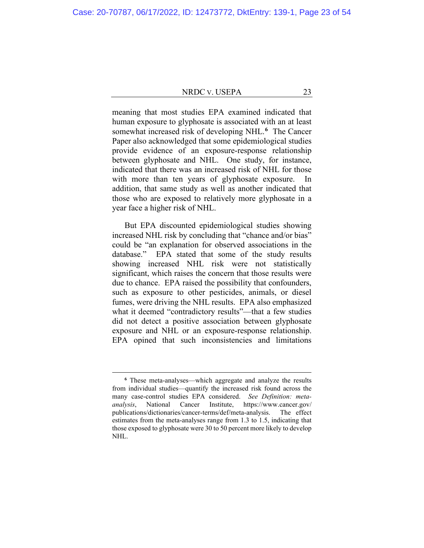meaning that most studies EPA examined indicated that human exposure to glyphosate is associated with an at least somewhat increased risk of developing NHL.**[6](#page-22-0)** The Cancer Paper also acknowledged that some epidemiological studies provide evidence of an exposure-response relationship between glyphosate and NHL. One study, for instance, indicated that there was an increased risk of NHL for those with more than ten years of glyphosate exposure. In addition, that same study as well as another indicated that those who are exposed to relatively more glyphosate in a year face a higher risk of NHL.

But EPA discounted epidemiological studies showing increased NHL risk by concluding that "chance and/or bias" could be "an explanation for observed associations in the database." EPA stated that some of the study results showing increased NHL risk were not statistically significant, which raises the concern that those results were due to chance. EPA raised the possibility that confounders, such as exposure to other pesticides, animals, or diesel fumes, were driving the NHL results. EPA also emphasized what it deemed "contradictory results"—that a few studies did not detect a positive association between glyphosate exposure and NHL or an exposure-response relationship. EPA opined that such inconsistencies and limitations

<span id="page-22-0"></span>**<sup>6</sup>** These meta-analyses—which aggregate and analyze the results from individual studies—quantify the increased risk found across the many case-control studies EPA considered. *See Definition: metaanalysis*, National Cancer Institute, https://www.cancer.gov/ publications/dictionaries/cancer-terms/def/meta-analysis. The effect estimates from the meta-analyses range from 1.3 to 1.5, indicating that those exposed to glyphosate were 30 to 50 percent more likely to develop NHL.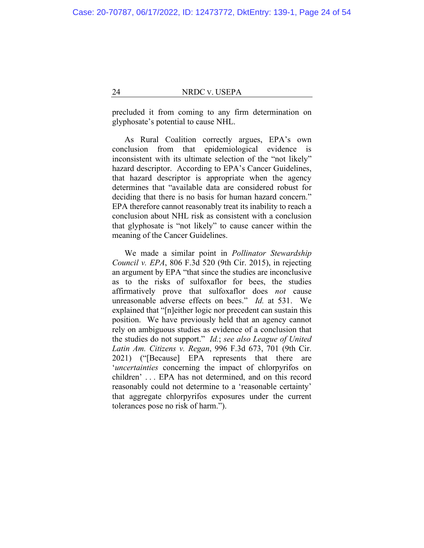precluded it from coming to any firm determination on glyphosate's potential to cause NHL.

As Rural Coalition correctly argues, EPA's own conclusion from that epidemiological evidence is inconsistent with its ultimate selection of the "not likely" hazard descriptor. According to EPA's Cancer Guidelines, that hazard descriptor is appropriate when the agency determines that "available data are considered robust for deciding that there is no basis for human hazard concern." EPA therefore cannot reasonably treat its inability to reach a conclusion about NHL risk as consistent with a conclusion that glyphosate is "not likely" to cause cancer within the meaning of the Cancer Guidelines.

We made a similar point in *Pollinator Stewardship Council v. EPA*, 806 F.3d 520 (9th Cir. 2015), in rejecting an argument by EPA "that since the studies are inconclusive as to the risks of sulfoxaflor for bees, the studies affirmatively prove that sulfoxaflor does *not* cause unreasonable adverse effects on bees." *Id.* at 531. We explained that "[n]either logic nor precedent can sustain this position. We have previously held that an agency cannot rely on ambiguous studies as evidence of a conclusion that the studies do not support." *Id.*; *see also League of United Latin Am. Citizens v. Regan*, 996 F.3d 673, 701 (9th Cir. 2021) ("[Because] EPA represents that there are '*uncertainties* concerning the impact of chlorpyrifos on children' . . . EPA has not determined, and on this record reasonably could not determine to a 'reasonable certainty' that aggregate chlorpyrifos exposures under the current tolerances pose no risk of harm.").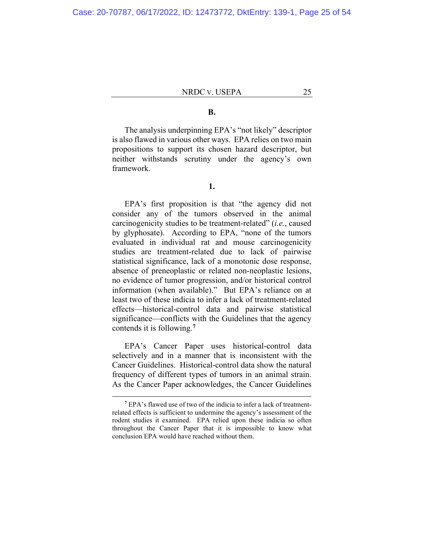# **B.**

The analysis underpinning EPA's "not likely" descriptor is also flawed in various other ways. EPA relies on two main propositions to support its chosen hazard descriptor, but neither withstands scrutiny under the agency's own framework.

# **1.**

EPA's first proposition is that "the agency did not consider any of the tumors observed in the animal carcinogenicity studies to be treatment-related" (*i.e.*, caused by glyphosate). According to EPA, "none of the tumors evaluated in individual rat and mouse carcinogenicity studies are treatment-related due to lack of pairwise statistical significance, lack of a monotonic dose response, absence of preneoplastic or related non-neoplastic lesions, no evidence of tumor progression, and/or historical control information (when available)." But EPA's reliance on at least two of these indicia to infer a lack of treatment-related effects—historical-control data and pairwise statistical significance—conflicts with the Guidelines that the agency contends it is following.**[7](#page-24-0)**

EPA's Cancer Paper uses historical-control data selectively and in a manner that is inconsistent with the Cancer Guidelines. Historical-control data show the natural frequency of different types of tumors in an animal strain. As the Cancer Paper acknowledges, the Cancer Guidelines

<span id="page-24-0"></span>**<sup>7</sup>** EPA's flawed use of two of the indicia to infer a lack of treatmentrelated effects is sufficient to undermine the agency's assessment of the rodent studies it examined. EPA relied upon these indicia so often throughout the Cancer Paper that it is impossible to know what conclusion EPA would have reached without them.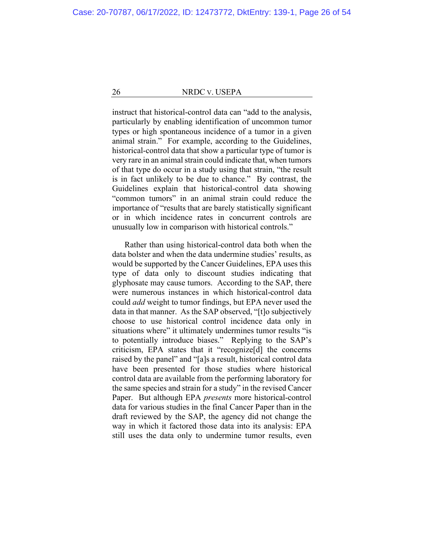instruct that historical-control data can "add to the analysis, particularly by enabling identification of uncommon tumor types or high spontaneous incidence of a tumor in a given animal strain." For example, according to the Guidelines, historical-control data that show a particular type of tumor is very rare in an animal strain could indicate that, when tumors of that type do occur in a study using that strain, "the result is in fact unlikely to be due to chance." By contrast, the Guidelines explain that historical-control data showing "common tumors" in an animal strain could reduce the importance of "results that are barely statistically significant or in which incidence rates in concurrent controls are unusually low in comparison with historical controls."

Rather than using historical-control data both when the data bolster and when the data undermine studies' results, as would be supported by the Cancer Guidelines, EPA uses this type of data only to discount studies indicating that glyphosate may cause tumors. According to the SAP, there were numerous instances in which historical-control data could *add* weight to tumor findings, but EPA never used the data in that manner. As the SAP observed, "[t]o subjectively choose to use historical control incidence data only in situations where" it ultimately undermines tumor results "is to potentially introduce biases." Replying to the SAP's criticism, EPA states that it "recognize[d] the concerns raised by the panel" and "[a]s a result, historical control data have been presented for those studies where historical control data are available from the performing laboratory for the same species and strain for a study" in the revised Cancer Paper. But although EPA *presents* more historical-control data for various studies in the final Cancer Paper than in the draft reviewed by the SAP, the agency did not change the way in which it factored those data into its analysis: EPA still uses the data only to undermine tumor results, even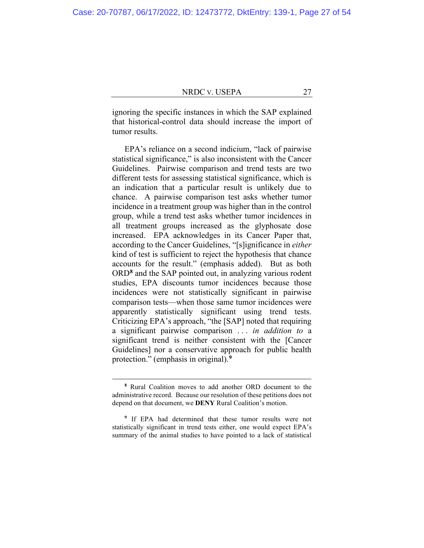ignoring the specific instances in which the SAP explained that historical-control data should increase the import of tumor results.

EPA's reliance on a second indicium, "lack of pairwise statistical significance," is also inconsistent with the Cancer Guidelines. Pairwise comparison and trend tests are two different tests for assessing statistical significance, which is an indication that a particular result is unlikely due to chance. A pairwise comparison test asks whether tumor incidence in a treatment group was higher than in the control group, while a trend test asks whether tumor incidences in all treatment groups increased as the glyphosate dose increased. EPA acknowledges in its Cancer Paper that, according to the Cancer Guidelines, "[s]ignificance in *either* kind of test is sufficient to reject the hypothesis that chance accounts for the result." (emphasis added).But as both ORD**[8](#page-26-0)** and the SAP pointed out, in analyzing various rodent studies, EPA discounts tumor incidences because those incidences were not statistically significant in pairwise comparison tests—when those same tumor incidences were apparently statistically significant using trend tests. Criticizing EPA's approach, "the [SAP] noted that requiring a significant pairwise comparison . . . *in addition to* a significant trend is neither consistent with the [Cancer Guidelines] nor a conservative approach for public health protection." (emphasis in original).**[9](#page-26-1)**

**<sup>8</sup>** Rural Coalition moves to add another ORD document to the administrative record. Because our resolution of these petitions does not depend on that document, we **DENY** Rural Coalition's motion.

<span id="page-26-1"></span><span id="page-26-0"></span>**<sup>9</sup>** If EPA had determined that these tumor results were not statistically significant in trend tests either, one would expect EPA's summary of the animal studies to have pointed to a lack of statistical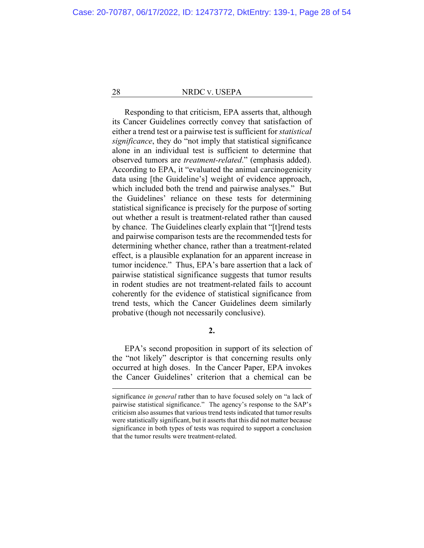Responding to that criticism, EPA asserts that, although its Cancer Guidelines correctly convey that satisfaction of either a trend test or a pairwise test is sufficient for *statistical significance*, they do "not imply that statistical significance alone in an individual test is sufficient to determine that observed tumors are *treatment-related*." (emphasis added). According to EPA, it "evaluated the animal carcinogenicity data using [the Guideline's] weight of evidence approach, which included both the trend and pairwise analyses." But the Guidelines' reliance on these tests for determining statistical significance is precisely for the purpose of sorting out whether a result is treatment-related rather than caused by chance. The Guidelines clearly explain that "[t]rend tests and pairwise comparison tests are the recommended tests for determining whether chance, rather than a treatment-related effect, is a plausible explanation for an apparent increase in tumor incidence." Thus, EPA's bare assertion that a lack of pairwise statistical significance suggests that tumor results in rodent studies are not treatment-related fails to account coherently for the evidence of statistical significance from trend tests, which the Cancer Guidelines deem similarly probative (though not necessarily conclusive).

**2.**

EPA's second proposition in support of its selection of the "not likely" descriptor is that concerning results only occurred at high doses. In the Cancer Paper, EPA invokes the Cancer Guidelines' criterion that a chemical can be

significance *in general* rather than to have focused solely on "a lack of pairwise statistical significance." The agency's response to the SAP's criticism also assumes that various trend tests indicated that tumor results were statistically significant, but it asserts that this did not matter because significance in both types of tests was required to support a conclusion that the tumor results were treatment-related.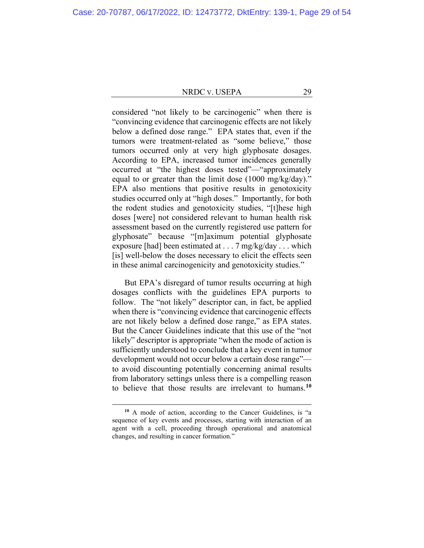considered "not likely to be carcinogenic" when there is "convincing evidence that carcinogenic effects are not likely below a defined dose range." EPA states that, even if the tumors were treatment-related as "some believe," those tumors occurred only at very high glyphosate dosages. According to EPA, increased tumor incidences generally occurred at "the highest doses tested"—"approximately equal to or greater than the limit dose (1000 mg/kg/day)." EPA also mentions that positive results in genotoxicity studies occurred only at "high doses." Importantly, for both the rodent studies and genotoxicity studies, "[t]hese high doses [were] not considered relevant to human health risk assessment based on the currently registered use pattern for glyphosate" because "[m]aximum potential glyphosate exposure [had] been estimated at . . . 7 mg/kg/day . . . which [is] well-below the doses necessary to elicit the effects seen in these animal carcinogenicity and genotoxicity studies."

But EPA's disregard of tumor results occurring at high dosages conflicts with the guidelines EPA purports to follow. The "not likely" descriptor can, in fact, be applied when there is "convincing evidence that carcinogenic effects are not likely below a defined dose range," as EPA states. But the Cancer Guidelines indicate that this use of the "not likely" descriptor is appropriate "when the mode of action is sufficiently understood to conclude that a key event in tumor development would not occur below a certain dose range" to avoid discounting potentially concerning animal results from laboratory settings unless there is a compelling reason to believe that those results are irrelevant to humans.**[10](#page-28-0)**

<span id="page-28-0"></span>**<sup>10</sup>** A mode of action, according to the Cancer Guidelines, is "a sequence of key events and processes, starting with interaction of an agent with a cell, proceeding through operational and anatomical changes, and resulting in cancer formation."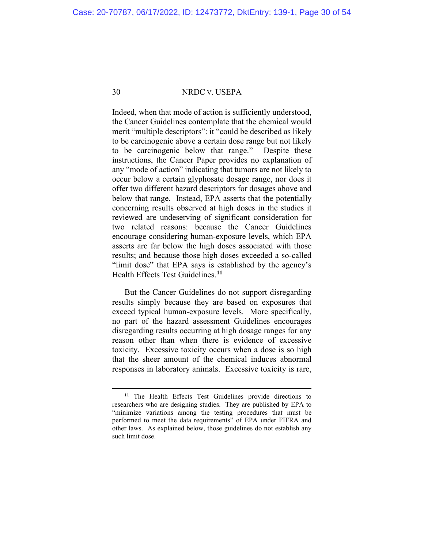Indeed, when that mode of action is sufficiently understood, the Cancer Guidelines contemplate that the chemical would merit "multiple descriptors": it "could be described as likely to be carcinogenic above a certain dose range but not likely to be carcinogenic below that range." Despite these instructions, the Cancer Paper provides no explanation of any "mode of action" indicating that tumors are not likely to occur below a certain glyphosate dosage range, nor does it offer two different hazard descriptors for dosages above and below that range. Instead, EPA asserts that the potentially concerning results observed at high doses in the studies it reviewed are undeserving of significant consideration for two related reasons: because the Cancer Guidelines encourage considering human-exposure levels, which EPA asserts are far below the high doses associated with those results; and because those high doses exceeded a so-called "limit dose" that EPA says is established by the agency's Health Effects Test Guidelines.**[11](#page-29-0)**

But the Cancer Guidelines do not support disregarding results simply because they are based on exposures that exceed typical human-exposure levels. More specifically, no part of the hazard assessment Guidelines encourages disregarding results occurring at high dosage ranges for any reason other than when there is evidence of excessive toxicity. Excessive toxicity occurs when a dose is so high that the sheer amount of the chemical induces abnormal responses in laboratory animals. Excessive toxicity is rare,

<span id="page-29-0"></span>**<sup>11</sup>** The Health Effects Test Guidelines provide directions to researchers who are designing studies. They are published by EPA to "minimize variations among the testing procedures that must be performed to meet the data requirements" of EPA under FIFRA and other laws. As explained below, those guidelines do not establish any such limit dose.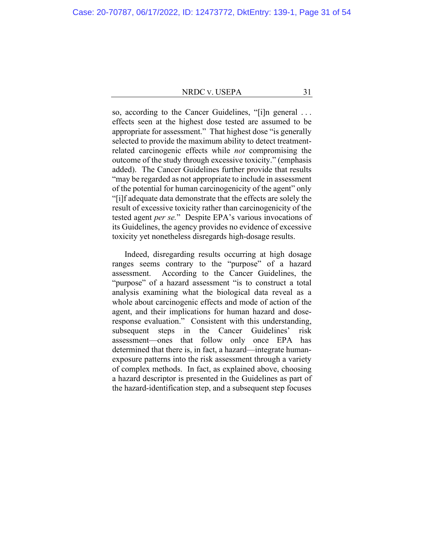so, according to the Cancer Guidelines, "[i]n general . . . effects seen at the highest dose tested are assumed to be appropriate for assessment." That highest dose "is generally selected to provide the maximum ability to detect treatmentrelated carcinogenic effects while *not* compromising the outcome of the study through excessive toxicity." (emphasis added).The Cancer Guidelines further provide that results "may be regarded as not appropriate to include in assessment of the potential for human carcinogenicity of the agent" only "[i]f adequate data demonstrate that the effects are solely the result of excessive toxicity rather than carcinogenicity of the tested agent *per se.*"Despite EPA's various invocations of its Guidelines, the agency provides no evidence of excessive toxicity yet nonetheless disregards high-dosage results.

Indeed, disregarding results occurring at high dosage ranges seems contrary to the "purpose" of a hazard assessment. According to the Cancer Guidelines, the "purpose" of a hazard assessment "is to construct a total analysis examining what the biological data reveal as a whole about carcinogenic effects and mode of action of the agent, and their implications for human hazard and doseresponse evaluation." Consistent with this understanding, subsequent steps in the Cancer Guidelines' risk assessment—ones that follow only once EPA has determined that there is, in fact, a hazard—integrate humanexposure patterns into the risk assessment through a variety of complex methods. In fact, as explained above, choosing a hazard descriptor is presented in the Guidelines as part of the hazard-identification step, and a subsequent step focuses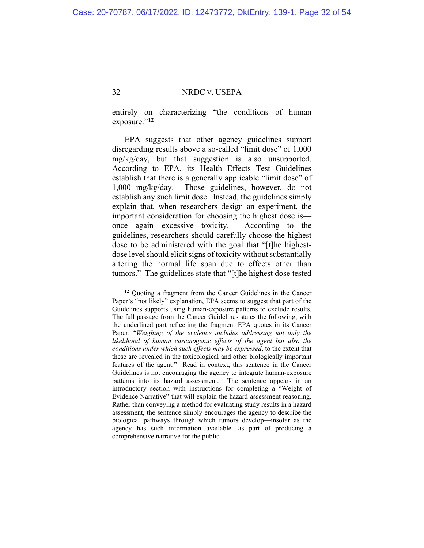entirely on characterizing "the conditions of human exposure."<sup>[12](#page-31-0)</sup>

EPA suggests that other agency guidelines support disregarding results above a so-called "limit dose" of 1,000 mg/kg/day, but that suggestion is also unsupported. According to EPA, its Health Effects Test Guidelines establish that there is a generally applicable "limit dose" of 1,000 mg/kg/day. Those guidelines, however, do not establish any such limit dose. Instead, the guidelines simply explain that, when researchers design an experiment, the important consideration for choosing the highest dose is once again—excessive toxicity. According to the guidelines, researchers should carefully choose the highest dose to be administered with the goal that "[t]he highestdose level should elicit signs of toxicity without substantially altering the normal life span due to effects other than tumors." The guidelines state that "[t]he highest dose tested

<span id="page-31-0"></span>**<sup>12</sup>** Quoting a fragment from the Cancer Guidelines in the Cancer Paper's "not likely" explanation, EPA seems to suggest that part of the Guidelines supports using human-exposure patterns to exclude results. The full passage from the Cancer Guidelines states the following, with the underlined part reflecting the fragment EPA quotes in its Cancer Paper: "*Weighing of the evidence includes addressing not only the likelihood of human carcinogenic effects of the agent but also the conditions under which such effects may be expressed*, to the extent that these are revealed in the toxicological and other biologically important features of the agent." Read in context, this sentence in the Cancer Guidelines is not encouraging the agency to integrate human-exposure patterns into its hazard assessment. The sentence appears in an introductory section with instructions for completing a "Weight of Evidence Narrative" that will explain the hazard-assessment reasoning. Rather than conveying a method for evaluating study results in a hazard assessment, the sentence simply encourages the agency to describe the biological pathways through which tumors develop—insofar as the agency has such information available—as part of producing a comprehensive narrative for the public.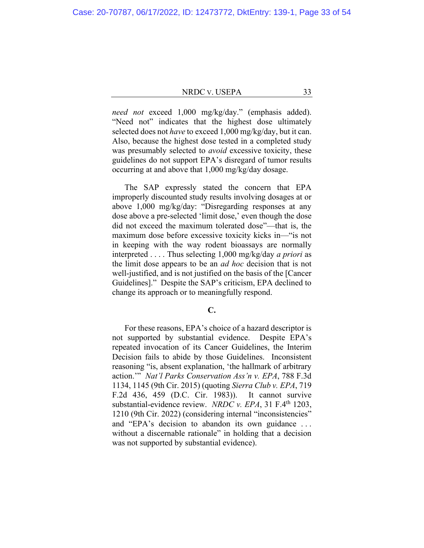*need not* exceed 1,000 mg/kg/day." (emphasis added). "Need not" indicates that the highest dose ultimately selected does not *have* to exceed 1,000 mg/kg/day, but it can. Also, because the highest dose tested in a completed study was presumably selected to *avoid* excessive toxicity, these guidelines do not support EPA's disregard of tumor results occurring at and above that 1,000 mg/kg/day dosage.

The SAP expressly stated the concern that EPA improperly discounted study results involving dosages at or above 1,000 mg/kg/day: "Disregarding responses at any dose above a pre-selected 'limit dose,' even though the dose did not exceed the maximum tolerated dose"—that is, the maximum dose before excessive toxicity kicks in—"is not in keeping with the way rodent bioassays are normally interpreted . . . . Thus selecting 1,000 mg/kg/day *a priori* as the limit dose appears to be an *ad hoc* decision that is not well-justified, and is not justified on the basis of the [Cancer Guidelines]." Despite the SAP's criticism, EPA declined to change its approach or to meaningfully respond.

# **C.**

For these reasons, EPA's choice of a hazard descriptor is not supported by substantial evidence. Despite EPA's repeated invocation of its Cancer Guidelines, the Interim Decision fails to abide by those Guidelines. Inconsistent reasoning "is, absent explanation, 'the hallmark of arbitrary action.'" *Nat'l Parks Conservation Ass'n v. EPA*, 788 F.3d 1134, 1145 (9th Cir. 2015) (quoting *Sierra Club v. EPA*, 719 F.2d 436, 459 (D.C. Cir. 1983)). It cannot survive substantial-evidence review. *NRDC v. EPA*, 31 F.4<sup>th</sup> 1203, 1210 (9th Cir. 2022) (considering internal "inconsistencies" and "EPA's decision to abandon its own guidance . . . without a discernable rationale" in holding that a decision was not supported by substantial evidence).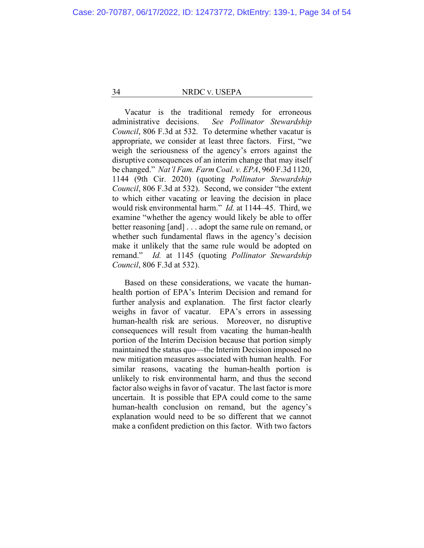Vacatur is the traditional remedy for erroneous administrative decisions. *See Pollinator Stewardship Council*, 806 F.3d at 532. To determine whether vacatur is appropriate, we consider at least three factors. First, "we weigh the seriousness of the agency's errors against the disruptive consequences of an interim change that may itself be changed." *Nat'l Fam. Farm Coal. v. EPA*, 960 F.3d 1120, 1144 (9th Cir. 2020) (quoting *Pollinator Stewardship Council*, 806 F.3d at 532). Second, we consider "the extent to which either vacating or leaving the decision in place would risk environmental harm." *Id.* at 1144–45. Third, we examine "whether the agency would likely be able to offer better reasoning [and] . . . adopt the same rule on remand, or whether such fundamental flaws in the agency's decision make it unlikely that the same rule would be adopted on remand." *Id.* at 1145 (quoting *Pollinator Stewardship Council*, 806 F.3d at 532).

Based on these considerations, we vacate the humanhealth portion of EPA's Interim Decision and remand for further analysis and explanation. The first factor clearly weighs in favor of vacatur. EPA's errors in assessing human-health risk are serious. Moreover, no disruptive consequences will result from vacating the human-health portion of the Interim Decision because that portion simply maintained the status quo—the Interim Decision imposed no new mitigation measures associated with human health. For similar reasons, vacating the human-health portion is unlikely to risk environmental harm, and thus the second factor also weighs in favor of vacatur. The last factor is more uncertain. It is possible that EPA could come to the same human-health conclusion on remand, but the agency's explanation would need to be so different that we cannot make a confident prediction on this factor. With two factors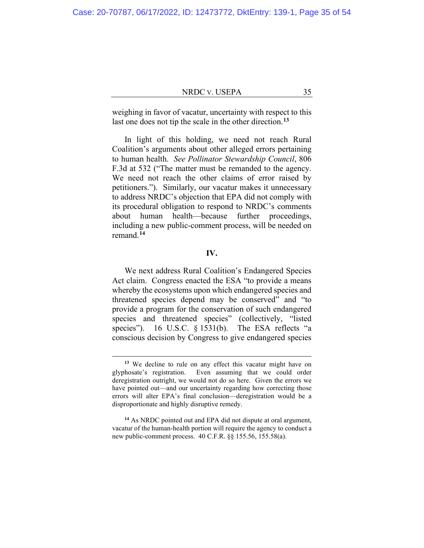weighing in favor of vacatur, uncertainty with respect to this last one does not tip the scale in the other direction.**[13](#page-34-0)**

In light of this holding, we need not reach Rural Coalition's arguments about other alleged errors pertaining to human health. *See Pollinator Stewardship Council*, 806 F.3d at 532 ("The matter must be remanded to the agency. We need not reach the other claims of error raised by petitioners."). Similarly, our vacatur makes it unnecessary to address NRDC's objection that EPA did not comply with its procedural obligation to respond to NRDC's comments about human health—because further proceedings, including a new public-comment process, will be needed on remand.**[14](#page-34-1)**

# **IV.**

We next address Rural Coalition's Endangered Species Act claim. Congress enacted the ESA "to provide a means whereby the ecosystems upon which endangered species and threatened species depend may be conserved" and "to provide a program for the conservation of such endangered species and threatened species" (collectively, "listed species"). 16 U.S.C. § 1531(b). The ESA reflects "a conscious decision by Congress to give endangered species

**<sup>13</sup>** We decline to rule on any effect this vacatur might have on glyphosate's registration. Even assuming that we could order deregistration outright, we would not do so here. Given the errors we have pointed out—and our uncertainty regarding how correcting those errors will alter EPA's final conclusion—deregistration would be a disproportionate and highly disruptive remedy.

<span id="page-34-1"></span><span id="page-34-0"></span>**<sup>14</sup>** As NRDC pointed out and EPA did not dispute at oral argument, vacatur of the human-health portion will require the agency to conduct a new public-comment process. 40 C.F.R. §§ 155.56, 155.58(a).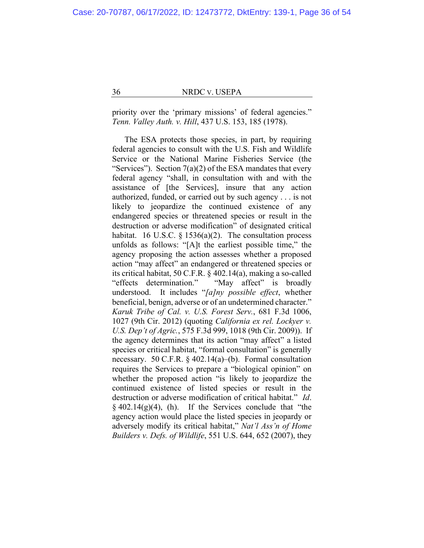priority over the 'primary missions' of federal agencies." *Tenn. Valley Auth. v. Hill*, 437 U.S. 153, 185 (1978).

The ESA protects those species, in part, by requiring federal agencies to consult with the U.S. Fish and Wildlife Service or the National Marine Fisheries Service (the "Services"). Section  $7(a)(2)$  of the ESA mandates that every federal agency "shall, in consultation with and with the assistance of [the Services], insure that any action authorized, funded, or carried out by such agency . . . is not likely to jeopardize the continued existence of any endangered species or threatened species or result in the destruction or adverse modification" of designated critical habitat. 16 U.S.C.  $\S$  1536(a)(2). The consultation process unfolds as follows: "[A]t the earliest possible time," the agency proposing the action assesses whether a proposed action "may affect" an endangered or threatened species or its critical habitat, 50 C.F.R. § 402.14(a), making a so-called "effects determination." "May affect" is broadly understood. It includes "*[a]ny possible effect*, whether beneficial, benign, adverse or of an undetermined character." *Karuk Tribe of Cal. v. U.S. Forest Serv.*, 681 F.3d 1006, 1027 (9th Cir. 2012) (quoting *California ex rel. Lockyer v. U.S. Dep't of Agric.*, 575 F.3d 999, 1018 (9th Cir. 2009)). If the agency determines that its action "may affect" a listed species or critical habitat, "formal consultation" is generally necessary. 50 C.F.R. § 402.14(a)–(b). Formal consultation requires the Services to prepare a "biological opinion" on whether the proposed action "is likely to jeopardize the continued existence of listed species or result in the destruction or adverse modification of critical habitat." *Id*.  $§$  402.14(g)(4), (h). If the Services conclude that "the agency action would place the listed species in jeopardy or adversely modify its critical habitat," *Nat'l Ass'n of Home Builders v. Defs. of Wildlife*, 551 U.S. 644, 652 (2007), they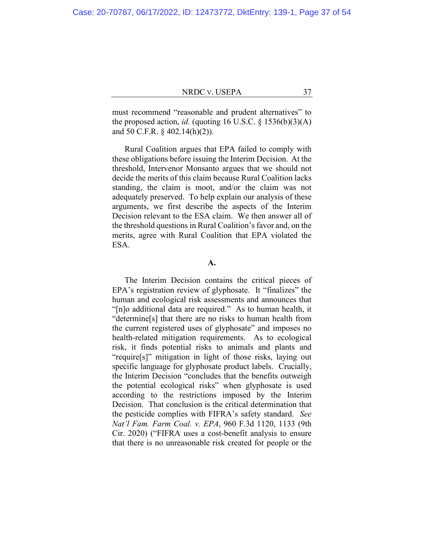must recommend "reasonable and prudent alternatives" to the proposed action, *id.* (quoting 16 U.S.C.  $\S$  1536(b)(3)(A) and 50 C.F.R. § 402.14(h)(2)).

Rural Coalition argues that EPA failed to comply with these obligations before issuing the Interim Decision. At the threshold, Intervenor Monsanto argues that we should not decide the merits of this claim because Rural Coalition lacks standing, the claim is moot, and/or the claim was not adequately preserved. To help explain our analysis of these arguments, we first describe the aspects of the Interim Decision relevant to the ESA claim. We then answer all of the threshold questions in Rural Coalition's favor and, on the merits, agree with Rural Coalition that EPA violated the ESA.

**A.**

The Interim Decision contains the critical pieces of EPA's registration review of glyphosate. It "finalizes" the human and ecological risk assessments and announces that "[n]o additional data are required."As to human health, it "determine[s] that there are no risks to human health from the current registered uses of glyphosate" and imposes no health-related mitigation requirements. As to ecological risk, it finds potential risks to animals and plants and "require[s]" mitigation in light of those risks, laying out specific language for glyphosate product labels. Crucially, the Interim Decision "concludes that the benefits outweigh the potential ecological risks" when glyphosate is used according to the restrictions imposed by the Interim Decision. That conclusion is the critical determination that the pesticide complies with FIFRA's safety standard. *See Nat'l Fam. Farm Coal. v. EPA*, 960 F.3d 1120, 1133 (9th Cir. 2020) ("FIFRA uses a cost-benefit analysis to ensure that there is no unreasonable risk created for people or the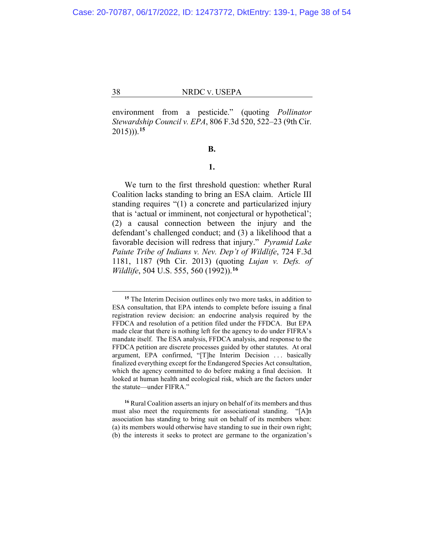environment from a pesticide." (quoting *Pollinator Stewardship Council v. EPA*, 806 F.3d 520, 522–23 (9th Cir. 2015))).**[15](#page-37-0)**

**B.**

# **1.**

We turn to the first threshold question: whether Rural Coalition lacks standing to bring an ESA claim. Article III standing requires "(1) a concrete and particularized injury that is 'actual or imminent, not conjectural or hypothetical'; (2) a causal connection between the injury and the defendant's challenged conduct; and (3) a likelihood that a favorable decision will redress that injury." *Pyramid Lake Paiute Tribe of Indians v. Nev. Dep't of Wildlife*, 724 F.3d 1181, 1187 (9th Cir. 2013) (quoting *Lujan v. Defs. of Wildlife*, 504 U.S. 555, 560 (1992)).**[16](#page-37-1)**

**<sup>15</sup>** The Interim Decision outlines only two more tasks, in addition to ESA consultation, that EPA intends to complete before issuing a final registration review decision: an endocrine analysis required by the FFDCA and resolution of a petition filed under the FFDCA. But EPA made clear that there is nothing left for the agency to do under FIFRA's mandate itself. The ESA analysis, FFDCA analysis, and response to the FFDCA petition are discrete processes guided by other statutes. At oral argument, EPA confirmed, "[T]he Interim Decision ... basically finalized everything except for the Endangered Species Act consultation, which the agency committed to do before making a final decision. It looked at human health and ecological risk, which are the factors under the statute—under FIFRA."

<span id="page-37-1"></span><span id="page-37-0"></span>**<sup>16</sup>** Rural Coalition asserts an injury on behalf of its members and thus must also meet the requirements for associational standing. "[A]n association has standing to bring suit on behalf of its members when: (a) its members would otherwise have standing to sue in their own right; (b) the interests it seeks to protect are germane to the organization's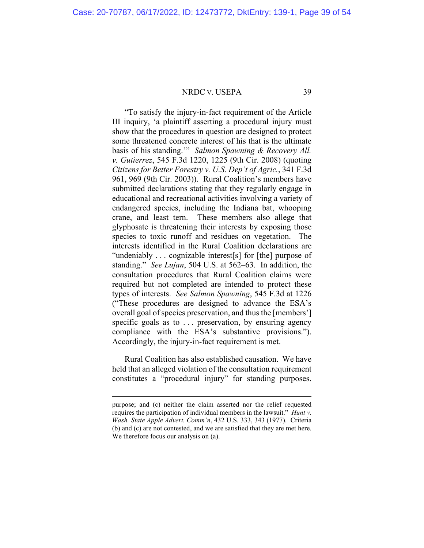"To satisfy the injury-in-fact requirement of the Article III inquiry, 'a plaintiff asserting a procedural injury must show that the procedures in question are designed to protect some threatened concrete interest of his that is the ultimate basis of his standing.'" *Salmon Spawning & Recovery All. v. Gutierrez*, 545 F.3d 1220, 1225 (9th Cir. 2008) (quoting *Citizens for Better Forestry v. U.S. Dep't of Agric.*, 341 F.3d 961, 969 (9th Cir. 2003)). Rural Coalition's members have submitted declarations stating that they regularly engage in educational and recreational activities involving a variety of endangered species, including the Indiana bat, whooping crane, and least tern. These members also allege that glyphosate is threatening their interests by exposing those species to toxic runoff and residues on vegetation. The interests identified in the Rural Coalition declarations are "undeniably . . . cognizable interest[s] for [the] purpose of standing." *See Lujan*, 504 U.S. at 562–63. In addition, the consultation procedures that Rural Coalition claims were required but not completed are intended to protect these types of interests. *See Salmon Spawning*, 545 F.3d at 1226 ("These procedures are designed to advance the ESA's overall goal of species preservation, and thus the [members'] specific goals as to ... preservation, by ensuring agency compliance with the ESA's substantive provisions."). Accordingly, the injury-in-fact requirement is met.

Rural Coalition has also established causation. We have held that an alleged violation of the consultation requirement constitutes a "procedural injury" for standing purposes.

purpose; and (c) neither the claim asserted nor the relief requested requires the participation of individual members in the lawsuit." *Hunt v. Wash. State Apple Advert. Comm'n*, 432 U.S. 333, 343 (1977). Criteria (b) and (c) are not contested, and we are satisfied that they are met here. We therefore focus our analysis on (a).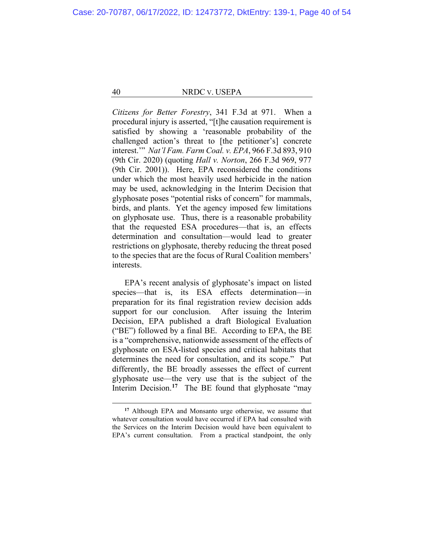*Citizens for Better Forestry*, 341 F.3d at 971. When a procedural injury is asserted, "[t]he causation requirement is satisfied by showing a 'reasonable probability of the challenged action's threat to [the petitioner's] concrete interest.'" *Nat'l Fam. Farm Coal. v. EPA*, 966 F.3d 893, 910 (9th Cir. 2020) (quoting *Hall v. Norton*, 266 F.3d 969, 977 (9th Cir. 2001)). Here, EPA reconsidered the conditions under which the most heavily used herbicide in the nation may be used, acknowledging in the Interim Decision that glyphosate poses "potential risks of concern" for mammals, birds, and plants. Yet the agency imposed few limitations on glyphosate use. Thus, there is a reasonable probability that the requested ESA procedures—that is, an effects determination and consultation—would lead to greater restrictions on glyphosate, thereby reducing the threat posed to the species that are the focus of Rural Coalition members' interests.

EPA's recent analysis of glyphosate's impact on listed species—that is, its ESA effects determination—in preparation for its final registration review decision adds support for our conclusion. After issuing the Interim Decision, EPA published a draft Biological Evaluation ("BE") followed by a final BE. According to EPA, the BE is a "comprehensive, nationwide assessment of the effects of glyphosate on ESA-listed species and critical habitats that determines the need for consultation, and its scope." Put differently, the BE broadly assesses the effect of current glyphosate use—the very use that is the subject of the Interim Decision.<sup>[17](#page-39-0)</sup> The BE found that glyphosate "may

<span id="page-39-0"></span>**<sup>17</sup>** Although EPA and Monsanto urge otherwise, we assume that whatever consultation would have occurred if EPA had consulted with the Services on the Interim Decision would have been equivalent to EPA's current consultation. From a practical standpoint, the only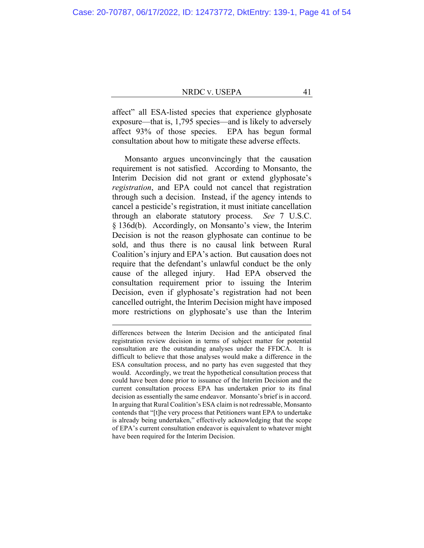affect" all ESA-listed species that experience glyphosate exposure—that is, 1,795 species—and is likely to adversely affect 93% of those species. EPA has begun formal consultation about how to mitigate these adverse effects.

Monsanto argues unconvincingly that the causation requirement is not satisfied. According to Monsanto, the Interim Decision did not grant or extend glyphosate's *registration*, and EPA could not cancel that registration through such a decision. Instead, if the agency intends to cancel a pesticide's registration, it must initiate cancellation through an elaborate statutory process. *See* 7 U.S.C. § 136d(b). Accordingly, on Monsanto's view, the Interim Decision is not the reason glyphosate can continue to be sold, and thus there is no causal link between Rural Coalition's injury and EPA's action. But causation does not require that the defendant's unlawful conduct be the only cause of the alleged injury. Had EPA observed the consultation requirement prior to issuing the Interim Decision, even if glyphosate's registration had not been cancelled outright, the Interim Decision might have imposed more restrictions on glyphosate's use than the Interim

differences between the Interim Decision and the anticipated final registration review decision in terms of subject matter for potential consultation are the outstanding analyses under the FFDCA. It is difficult to believe that those analyses would make a difference in the ESA consultation process, and no party has even suggested that they would. Accordingly, we treat the hypothetical consultation process that could have been done prior to issuance of the Interim Decision and the current consultation process EPA has undertaken prior to its final decision as essentially the same endeavor. Monsanto's brief is in accord. In arguing that Rural Coalition's ESA claim is not redressable, Monsanto contends that "[t]he very process that Petitioners want EPA to undertake is already being undertaken," effectively acknowledging that the scope of EPA's current consultation endeavor is equivalent to whatever might have been required for the Interim Decision.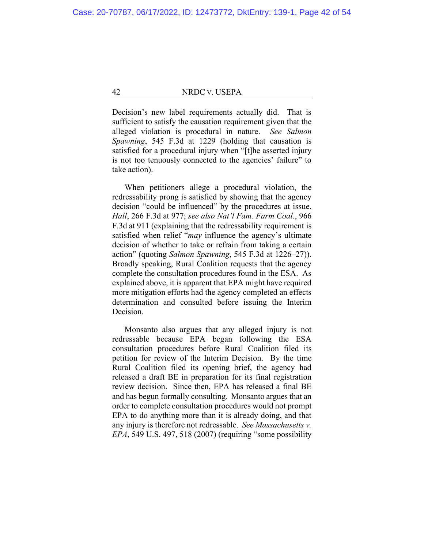Decision's new label requirements actually did. That is sufficient to satisfy the causation requirement given that the alleged violation is procedural in nature. *See Salmon Spawning*, 545 F.3d at 1229 (holding that causation is satisfied for a procedural injury when "[t]he asserted injury is not too tenuously connected to the agencies' failure" to take action).

When petitioners allege a procedural violation, the redressability prong is satisfied by showing that the agency decision "could be influenced" by the procedures at issue. *Hall*, 266 F.3d at 977; *see also Nat'l Fam. Farm Coal.*, 966 F.3d at 911 (explaining that the redressability requirement is satisfied when relief "*may* influence the agency's ultimate decision of whether to take or refrain from taking a certain action" (quoting *Salmon Spawning*, 545 F.3d at 1226–27)). Broadly speaking, Rural Coalition requests that the agency complete the consultation procedures found in the ESA. As explained above, it is apparent that EPA might have required more mitigation efforts had the agency completed an effects determination and consulted before issuing the Interim Decision.

Monsanto also argues that any alleged injury is not redressable because EPA began following the ESA consultation procedures before Rural Coalition filed its petition for review of the Interim Decision. By the time Rural Coalition filed its opening brief, the agency had released a draft BE in preparation for its final registration review decision. Since then, EPA has released a final BE and has begun formally consulting. Monsanto argues that an order to complete consultation procedures would not prompt EPA to do anything more than it is already doing, and that any injury is therefore not redressable. *See Massachusetts v. EPA*, 549 U.S. 497, 518 (2007) (requiring "some possibility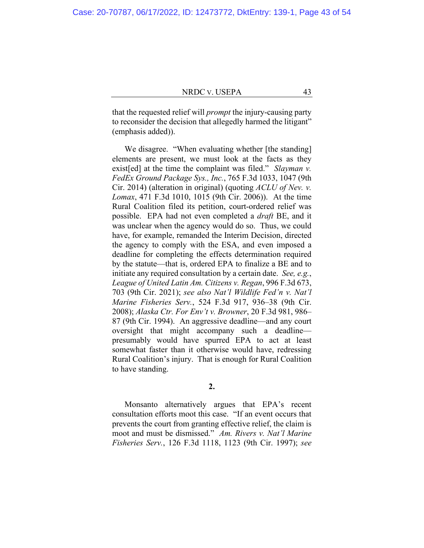that the requested relief will *prompt* the injury-causing party to reconsider the decision that allegedly harmed the litigant" (emphasis added)).

We disagree. "When evaluating whether [the standing] elements are present, we must look at the facts as they exist[ed] at the time the complaint was filed." *Slayman v. FedEx Ground Package Sys., Inc.*, 765 F.3d 1033, 1047 (9th Cir. 2014) (alteration in original) (quoting *ACLU of Nev. v. Lomax*, 471 F.3d 1010, 1015 (9th Cir. 2006)). At the time Rural Coalition filed its petition, court-ordered relief was possible. EPA had not even completed a *draft* BE, and it was unclear when the agency would do so. Thus, we could have, for example, remanded the Interim Decision, directed the agency to comply with the ESA, and even imposed a deadline for completing the effects determination required by the statute—that is, ordered EPA to finalize a BE and to initiate any required consultation by a certain date. *See, e.g.*, *League of United Latin Am. Citizens v. Regan*, 996 F.3d 673, 703 (9th Cir. 2021); *see also Nat'l Wildlife Fed'n v. Nat'l Marine Fisheries Serv.*, 524 F.3d 917, 936–38 (9th Cir. 2008); *Alaska Ctr. For Env't v. Browner*, 20 F.3d 981, 986– 87 (9th Cir. 1994). An aggressive deadline—and any court oversight that might accompany such a deadline presumably would have spurred EPA to act at least somewhat faster than it otherwise would have, redressing Rural Coalition's injury. That is enough for Rural Coalition to have standing.

**2.**

Monsanto alternatively argues that EPA's recent consultation efforts moot this case. "If an event occurs that prevents the court from granting effective relief, the claim is moot and must be dismissed." *Am. Rivers v. Nat'l Marine Fisheries Serv.*, 126 F.3d 1118, 1123 (9th Cir. 1997); *see*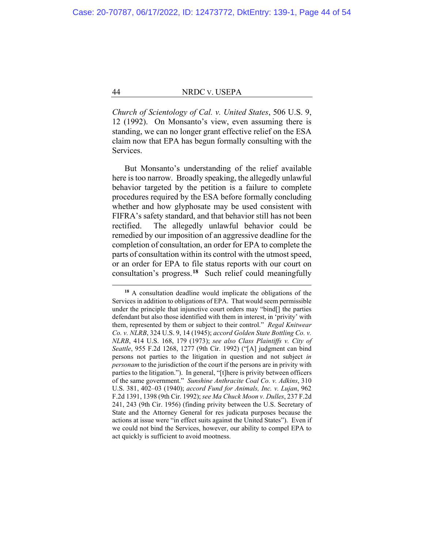*Church of Scientology of Cal. v. United States*, 506 U.S. 9, 12 (1992). On Monsanto's view, even assuming there is standing, we can no longer grant effective relief on the ESA claim now that EPA has begun formally consulting with the Services.

But Monsanto's understanding of the relief available here is too narrow. Broadly speaking, the allegedly unlawful behavior targeted by the petition is a failure to complete procedures required by the ESA before formally concluding whether and how glyphosate may be used consistent with FIFRA's safety standard, and that behavior still has not been rectified. The allegedly unlawful behavior could be remedied by our imposition of an aggressive deadline for the completion of consultation, an order for EPA to complete the parts of consultation within its control with the utmost speed, or an order for EPA to file status reports with our court on consultation's progress.**[18](#page-43-0)** Such relief could meaningfully

<span id="page-43-0"></span>**<sup>18</sup>** A consultation deadline would implicate the obligations of the Services in addition to obligations of EPA. That would seem permissible under the principle that injunctive court orders may "bind[] the parties defendant but also those identified with them in interest, in 'privity' with them, represented by them or subject to their control." *Regal Knitwear Co. v. NLRB*, 324 U.S. 9, 14 (1945); *accord Golden State Bottling Co. v. NLRB*, 414 U.S. 168, 179 (1973); *see also Class Plaintiffs v. City of Seattle*, 955 F.2d 1268, 1277 (9th Cir. 1992) ("[A] judgment can bind persons not parties to the litigation in question and not subject *in personam* to the jurisdiction of the court if the persons are in privity with parties to the litigation."). In general, "[t]here is privity between officers of the same government." *Sunshine Anthracite Coal Co. v. Adkins*, 310 U.S. 381, 402–03 (1940); *accord Fund for Animals, Inc. v. Lujan*, 962 F.2d 1391, 1398 (9th Cir. 1992); *see Ma Chuck Moon v. Dulles*, 237 F.2d 241, 243 (9th Cir. 1956) (finding privity between the U.S. Secretary of State and the Attorney General for res judicata purposes because the actions at issue were "in effect suits against the United States"). Even if we could not bind the Services, however, our ability to compel EPA to act quickly is sufficient to avoid mootness.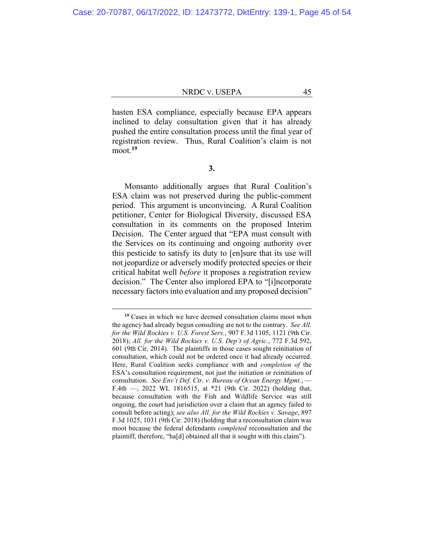hasten ESA compliance, especially because EPA appears inclined to delay consultation given that it has already pushed the entire consultation process until the final year of registration review. Thus, Rural Coalition's claim is not moot.**[19](#page-44-0)**

**3.**

Monsanto additionally argues that Rural Coalition's ESA claim was not preserved during the public-comment period. This argument is unconvincing. A Rural Coalition petitioner, Center for Biological Diversity, discussed ESA consultation in its comments on the proposed Interim Decision. The Center argued that "EPA must consult with the Services on its continuing and ongoing authority over this pesticide to satisfy its duty to [en]sure that its use will not jeopardize or adversely modify protected species or their critical habitat well *before* it proposes a registration review decision." The Center also implored EPA to "[i]ncorporate necessary factors into evaluation and any proposed decision"

<span id="page-44-0"></span>**<sup>19</sup>** Cases in which we have deemed consultation claims moot when the agency had already begun consulting are not to the contrary. *See All. for the Wild Rockies v. U.S. Forest Serv.*, 907 F.3d 1105, 1121 (9th Cir. 2018); *All. for the Wild Rockies v. U.S. Dep't of Agric.*, 772 F.3d 592, 601 (9th Cir. 2014). The plaintiffs in those cases sought reinitiation of consultation, which could not be ordered once it had already occurred. Here, Rural Coalition seeks compliance with and *completion of* the ESA's consultation requirement, not just the initiation or reinitiation of consultation. *See Env't Def. Ctr. v. Bureau of Ocean Energy Mgmt.*, — F.4th —, 2022 WL 1816515, at \*21 (9th Cir. 2022) (holding that, because consultation with the Fish and Wildlife Service was still ongoing, the court had jurisdiction over a claim that an agency failed to consult before acting); *see also All. for the Wild Rockies v. Savage*, 897 F.3d 1025, 1031 (9th Cir. 2018) (holding that a reconsultation claim was moot because the federal defendants *completed* reconsultation and the plaintiff, therefore, "ha[d] obtained all that it sought with this claim").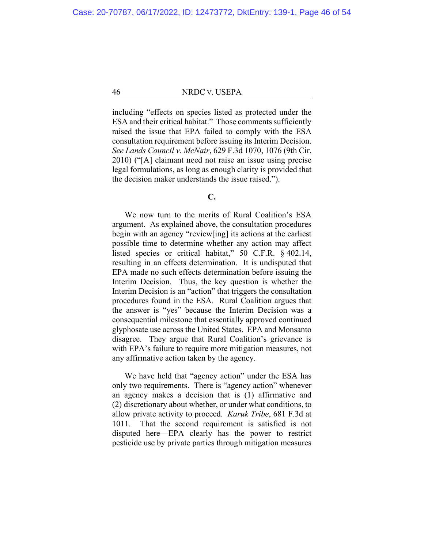including "effects on species listed as protected under the ESA and their critical habitat." Those comments sufficiently raised the issue that EPA failed to comply with the ESA consultation requirement before issuing its Interim Decision. *See Lands Council v. McNair*, 629 F.3d 1070, 1076 (9th Cir. 2010) ("[A] claimant need not raise an issue using precise legal formulations, as long as enough clarity is provided that the decision maker understands the issue raised.").

# **C.**

We now turn to the merits of Rural Coalition's ESA argument. As explained above, the consultation procedures begin with an agency "review[ing] its actions at the earliest possible time to determine whether any action may affect listed species or critical habitat," 50 C.F.R. § 402.14, resulting in an effects determination. It is undisputed that EPA made no such effects determination before issuing the Interim Decision. Thus, the key question is whether the Interim Decision is an "action" that triggers the consultation procedures found in the ESA. Rural Coalition argues that the answer is "yes" because the Interim Decision was a consequential milestone that essentially approved continued glyphosate use across the United States. EPA and Monsanto disagree. They argue that Rural Coalition's grievance is with EPA's failure to require more mitigation measures, not any affirmative action taken by the agency.

We have held that "agency action" under the ESA has only two requirements. There is "agency action" whenever an agency makes a decision that is (1) affirmative and (2) discretionary about whether, or under what conditions, to allow private activity to proceed. *Karuk Tribe*, 681 F.3d at 1011. That the second requirement is satisfied is not disputed here—EPA clearly has the power to restrict pesticide use by private parties through mitigation measures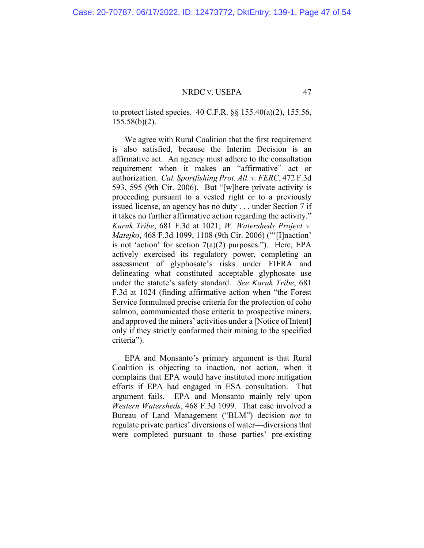to protect listed species. 40 C.F.R. §§ 155.40(a)(2), 155.56, 155.58(b)(2).

We agree with Rural Coalition that the first requirement is also satisfied, because the Interim Decision is an affirmative act. An agency must adhere to the consultation requirement when it makes an "affirmative" act or authorization. *Cal. Sportfishing Prot. All. v. FERC*, 472 F.3d 593, 595 (9th Cir. 2006). But "[w]here private activity is proceeding pursuant to a vested right or to a previously issued license, an agency has no duty . . . under Section 7 if it takes no further affirmative action regarding the activity." *Karuk Tribe*, 681 F.3d at 1021; *W. Watersheds Project v. Matejko*, 468 F.3d 1099, 1108 (9th Cir. 2006) ("'[I]naction' is not 'action' for section  $7(a)(2)$  purposes."). Here, EPA actively exercised its regulatory power, completing an assessment of glyphosate's risks under FIFRA and delineating what constituted acceptable glyphosate use under the statute's safety standard. *See Karuk Tribe*, 681 F.3d at 1024 (finding affirmative action when "the Forest Service formulated precise criteria for the protection of coho salmon, communicated those criteria to prospective miners, and approved the miners' activities under a [Notice of Intent] only if they strictly conformed their mining to the specified criteria").

EPA and Monsanto's primary argument is that Rural Coalition is objecting to inaction, not action, when it complains that EPA would have instituted more mitigation efforts if EPA had engaged in ESA consultation. That argument fails. EPA and Monsanto mainly rely upon *Western Watersheds*, 468 F.3d 1099. That case involved a Bureau of Land Management ("BLM") decision *not* to regulate private parties' diversions of water—diversions that were completed pursuant to those parties' pre-existing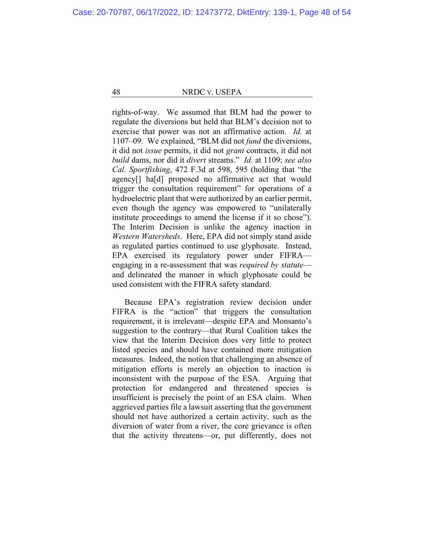rights-of-way. We assumed that BLM had the power to regulate the diversions but held that BLM's decision not to exercise that power was not an affirmative action. *Id.* at 1107–09. We explained, "BLM did not *fund* the diversions, it did not *issue* permits, it did not *grant* contracts, it did not *build* dams, nor did it *divert* streams." *Id.* at 1109; *see also Cal. Sportfishing*, 472 F.3d at 598, 595 (holding that "the agency[] ha[d] proposed no affirmative act that would trigger the consultation requirement" for operations of a hydroelectric plant that were authorized by an earlier permit, even though the agency was empowered to "unilaterally institute proceedings to amend the license if it so chose"). The Interim Decision is unlike the agency inaction in *Western Watersheds*. Here, EPA did not simply stand aside as regulated parties continued to use glyphosate. Instead, EPA exercised its regulatory power under FIFRA engaging in a re-assessment that was *required by statute* and delineated the manner in which glyphosate could be used consistent with the FIFRA safety standard.

Because EPA's registration review decision under FIFRA is the "action" that triggers the consultation requirement, it is irrelevant—despite EPA and Monsanto's suggestion to the contrary—that Rural Coalition takes the view that the Interim Decision does very little to protect listed species and should have contained more mitigation measures. Indeed, the notion that challenging an absence of mitigation efforts is merely an objection to inaction is inconsistent with the purpose of the ESA. Arguing that protection for endangered and threatened species is insufficient is precisely the point of an ESA claim. When aggrieved parties file a lawsuit asserting that the government should not have authorized a certain activity, such as the diversion of water from a river, the core grievance is often that the activity threatens—or, put differently, does not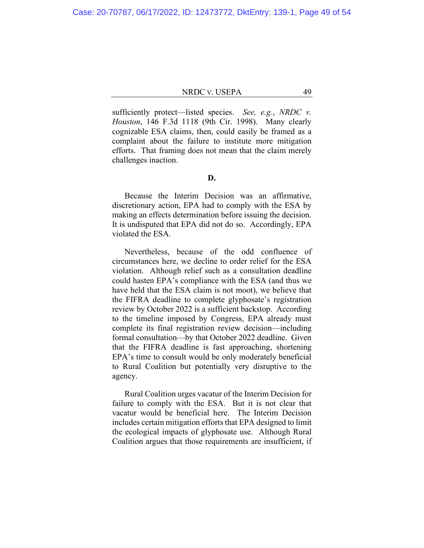sufficiently protect—listed species. *See, e.g.*, *NRDC v. Houston*, 146 F.3d 1118 (9th Cir. 1998). Many clearly cognizable ESA claims, then, could easily be framed as a complaint about the failure to institute more mitigation efforts. That framing does not mean that the claim merely challenges inaction.

# **D.**

Because the Interim Decision was an affirmative, discretionary action, EPA had to comply with the ESA by making an effects determination before issuing the decision. It is undisputed that EPA did not do so. Accordingly, EPA violated the ESA.

Nevertheless, because of the odd confluence of circumstances here, we decline to order relief for the ESA violation. Although relief such as a consultation deadline could hasten EPA's compliance with the ESA (and thus we have held that the ESA claim is not moot), we believe that the FIFRA deadline to complete glyphosate's registration review by October 2022 is a sufficient backstop. According to the timeline imposed by Congress, EPA already must complete its final registration review decision—including formal consultation—by that October 2022 deadline. Given that the FIFRA deadline is fast approaching, shortening EPA's time to consult would be only moderately beneficial to Rural Coalition but potentially very disruptive to the agency.

Rural Coalition urges vacatur of the Interim Decision for failure to comply with the ESA. But it is not clear that vacatur would be beneficial here. The Interim Decision includes certain mitigation efforts that EPA designed to limit the ecological impacts of glyphosate use. Although Rural Coalition argues that those requirements are insufficient, if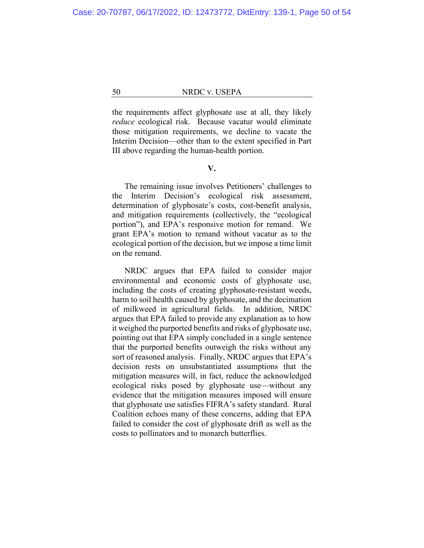the requirements affect glyphosate use at all, they likely *reduce* ecological risk. Because vacatur would eliminate those mitigation requirements, we decline to vacate the Interim Decision—other than to the extent specified in Part III above regarding the human-health portion.

# **V.**

The remaining issue involves Petitioners' challenges to the Interim Decision's ecological risk assessment, determination of glyphosate's costs, cost-benefit analysis, and mitigation requirements (collectively, the "ecological portion"), and EPA's responsive motion for remand. We grant EPA's motion to remand without vacatur as to the ecological portion of the decision, but we impose a time limit on the remand.

NRDC argues that EPA failed to consider major environmental and economic costs of glyphosate use, including the costs of creating glyphosate-resistant weeds, harm to soil health caused by glyphosate, and the decimation of milkweed in agricultural fields. In addition, NRDC argues that EPA failed to provide any explanation as to how it weighed the purported benefits and risks of glyphosate use, pointing out that EPA simply concluded in a single sentence that the purported benefits outweigh the risks without any sort of reasoned analysis. Finally, NRDC argues that EPA's decision rests on unsubstantiated assumptions that the mitigation measures will, in fact, reduce the acknowledged ecological risks posed by glyphosate use—without any evidence that the mitigation measures imposed will ensure that glyphosate use satisfies FIFRA's safety standard. Rural Coalition echoes many of these concerns, adding that EPA failed to consider the cost of glyphosate drift as well as the costs to pollinators and to monarch butterflies.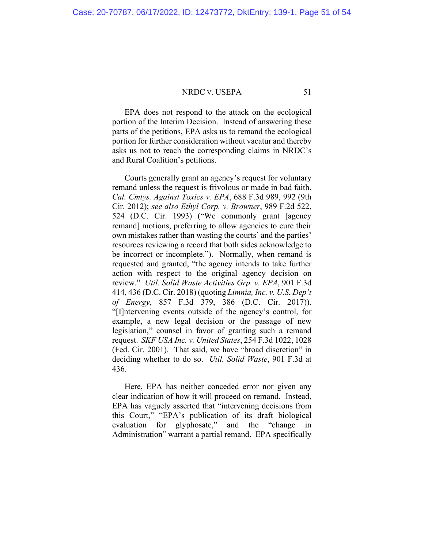EPA does not respond to the attack on the ecological portion of the Interim Decision. Instead of answering these parts of the petitions, EPA asks us to remand the ecological portion for further consideration without vacatur and thereby asks us not to reach the corresponding claims in NRDC's and Rural Coalition's petitions.

Courts generally grant an agency's request for voluntary remand unless the request is frivolous or made in bad faith. *Cal. Cmtys. Against Toxics v. EPA*, 688 F.3d 989, 992 (9th Cir. 2012); *see also Ethyl Corp. v. Browner*, 989 F.2d 522, 524 (D.C. Cir. 1993) ("We commonly grant [agency remand] motions, preferring to allow agencies to cure their own mistakes rather than wasting the courts' and the parties' resources reviewing a record that both sides acknowledge to be incorrect or incomplete."). Normally, when remand is requested and granted, "the agency intends to take further action with respect to the original agency decision on review." *Util. Solid Waste Activities Grp. v. EPA*, 901 F.3d 414, 436 (D.C. Cir. 2018) (quoting *Limnia, Inc. v. U.S. Dep't of Energy*, 857 F.3d 379, 386 (D.C. Cir. 2017)). "[I]ntervening events outside of the agency's control, for example, a new legal decision or the passage of new legislation," counsel in favor of granting such a remand request. *SKF USA Inc. v. United States*, 254 F.3d 1022, 1028 (Fed. Cir. 2001). That said, we have "broad discretion" in deciding whether to do so. *Util. Solid Waste*, 901 F.3d at 436.

Here, EPA has neither conceded error nor given any clear indication of how it will proceed on remand. Instead, EPA has vaguely asserted that "intervening decisions from this Court," "EPA's publication of its draft biological evaluation for glyphosate," and the "change in Administration" warrant a partial remand. EPA specifically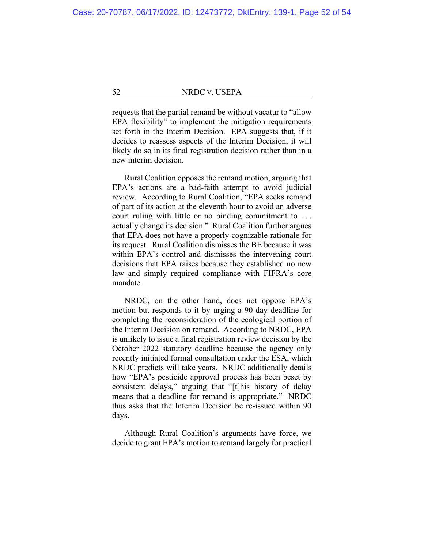requests that the partial remand be without vacatur to "allow EPA flexibility" to implement the mitigation requirements set forth in the Interim Decision. EPA suggests that, if it decides to reassess aspects of the Interim Decision, it will likely do so in its final registration decision rather than in a new interim decision.

Rural Coalition opposes the remand motion, arguing that EPA's actions are a bad-faith attempt to avoid judicial review. According to Rural Coalition, "EPA seeks remand of part of its action at the eleventh hour to avoid an adverse court ruling with little or no binding commitment to . . . actually change its decision." Rural Coalition further argues that EPA does not have a properly cognizable rationale for its request. Rural Coalition dismisses the BE because it was within EPA's control and dismisses the intervening court decisions that EPA raises because they established no new law and simply required compliance with FIFRA's core mandate.

NRDC, on the other hand, does not oppose EPA's motion but responds to it by urging a 90-day deadline for completing the reconsideration of the ecological portion of the Interim Decision on remand. According to NRDC, EPA is unlikely to issue a final registration review decision by the October 2022 statutory deadline because the agency only recently initiated formal consultation under the ESA, which NRDC predicts will take years. NRDC additionally details how "EPA's pesticide approval process has been beset by consistent delays," arguing that "[t]his history of delay means that a deadline for remand is appropriate." NRDC thus asks that the Interim Decision be re-issued within 90 days.

Although Rural Coalition's arguments have force, we decide to grant EPA's motion to remand largely for practical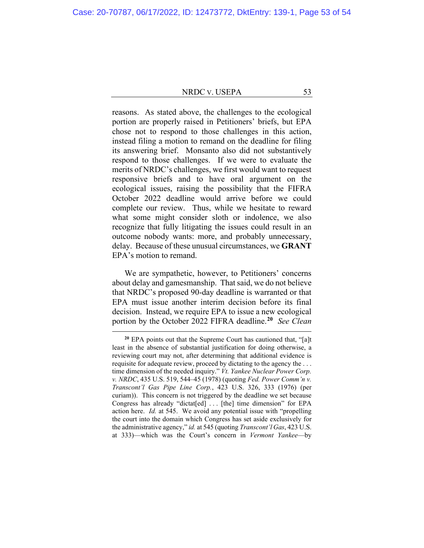reasons. As stated above, the challenges to the ecological portion are properly raised in Petitioners' briefs, but EPA chose not to respond to those challenges in this action, instead filing a motion to remand on the deadline for filing its answering brief. Monsanto also did not substantively respond to those challenges. If we were to evaluate the merits of NRDC's challenges, we first would want to request responsive briefs and to have oral argument on the ecological issues, raising the possibility that the FIFRA October 2022 deadline would arrive before we could complete our review. Thus, while we hesitate to reward what some might consider sloth or indolence, we also recognize that fully litigating the issues could result in an outcome nobody wants: more, and probably unnecessary, delay. Because of these unusual circumstances, we **GRANT** EPA's motion to remand.

We are sympathetic, however, to Petitioners' concerns about delay and gamesmanship. That said, we do not believe that NRDC's proposed 90-day deadline is warranted or that EPA must issue another interim decision before its final decision. Instead, we require EPA to issue a new ecological portion by the October 2022 FIFRA deadline.**[20](#page-52-0)** *See Clean* 

<span id="page-52-0"></span>**<sup>20</sup>** EPA points out that the Supreme Court has cautioned that, "[a]t least in the absence of substantial justification for doing otherwise, a reviewing court may not, after determining that additional evidence is requisite for adequate review, proceed by dictating to the agency the . . . time dimension of the needed inquiry." *Vt. Yankee Nuclear Power Corp. v. NRDC*, 435 U.S. 519, 544–45 (1978) (quoting *Fed. Power Comm'n v. Transcont'l Gas Pipe Line Corp.*, 423 U.S. 326, 333 (1976) (per curiam)). This concern is not triggered by the deadline we set because Congress has already "dictat[ed] ... [the] time dimension" for EPA action here. *Id.* at 545. We avoid any potential issue with "propelling the court into the domain which Congress has set aside exclusively for the administrative agency," *id.* at 545 (quoting *Transcont'l Gas*, 423 U.S. at 333)—which was the Court's concern in *Vermont Yankee*—by